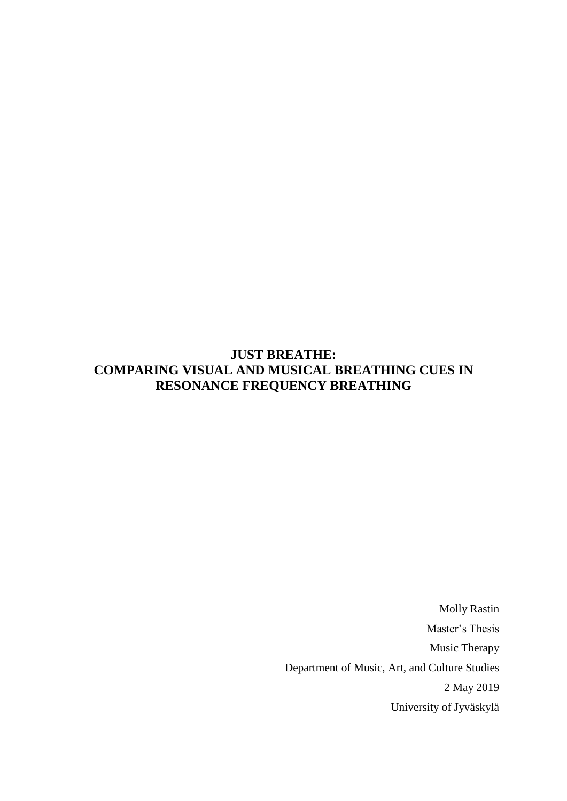# **JUST BREATHE: COMPARING VISUAL AND MUSICAL BREATHING CUES IN RESONANCE FREQUENCY BREATHING**

Molly Rastin Master's Thesis Music Therapy Department of Music, Art, and Culture Studies 2 May 2019 University of Jyväskylä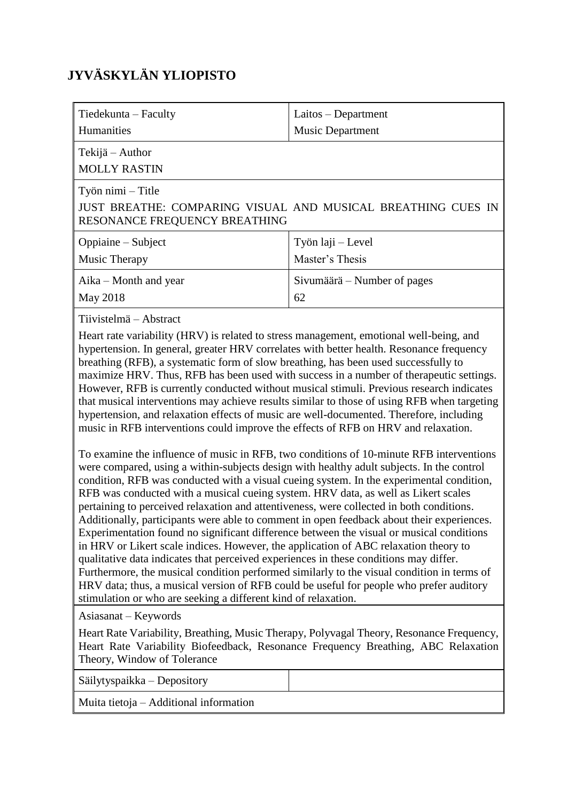# **JYVÄSKYLÄN YLIOPISTO**

| Tiedekunta - Faculty                                                                                                                                                                                                                                                                                                                                                                                                                                                                                                                                                                                                                                                                                                                                                                                                                                                                                                                                                                                                                                                                                                                                                                                                                                                                                                                                                                                                                                                                                                                                                                                                                                                                                                                                                                                                                           | Laitos – Department                                                                                                                                                                                                                                                          |  |
|------------------------------------------------------------------------------------------------------------------------------------------------------------------------------------------------------------------------------------------------------------------------------------------------------------------------------------------------------------------------------------------------------------------------------------------------------------------------------------------------------------------------------------------------------------------------------------------------------------------------------------------------------------------------------------------------------------------------------------------------------------------------------------------------------------------------------------------------------------------------------------------------------------------------------------------------------------------------------------------------------------------------------------------------------------------------------------------------------------------------------------------------------------------------------------------------------------------------------------------------------------------------------------------------------------------------------------------------------------------------------------------------------------------------------------------------------------------------------------------------------------------------------------------------------------------------------------------------------------------------------------------------------------------------------------------------------------------------------------------------------------------------------------------------------------------------------------------------|------------------------------------------------------------------------------------------------------------------------------------------------------------------------------------------------------------------------------------------------------------------------------|--|
| Humanities                                                                                                                                                                                                                                                                                                                                                                                                                                                                                                                                                                                                                                                                                                                                                                                                                                                                                                                                                                                                                                                                                                                                                                                                                                                                                                                                                                                                                                                                                                                                                                                                                                                                                                                                                                                                                                     | <b>Music Department</b>                                                                                                                                                                                                                                                      |  |
| Tekijä – Author<br><b>MOLLY RASTIN</b>                                                                                                                                                                                                                                                                                                                                                                                                                                                                                                                                                                                                                                                                                                                                                                                                                                                                                                                                                                                                                                                                                                                                                                                                                                                                                                                                                                                                                                                                                                                                                                                                                                                                                                                                                                                                         |                                                                                                                                                                                                                                                                              |  |
| Työn nimi – Title<br>RESONANCE FREQUENCY BREATHING                                                                                                                                                                                                                                                                                                                                                                                                                                                                                                                                                                                                                                                                                                                                                                                                                                                                                                                                                                                                                                                                                                                                                                                                                                                                                                                                                                                                                                                                                                                                                                                                                                                                                                                                                                                             | JUST BREATHE: COMPARING VISUAL AND MUSICAL BREATHING CUES IN                                                                                                                                                                                                                 |  |
| Oppiaine – Subject<br>Music Therapy                                                                                                                                                                                                                                                                                                                                                                                                                                                                                                                                                                                                                                                                                                                                                                                                                                                                                                                                                                                                                                                                                                                                                                                                                                                                                                                                                                                                                                                                                                                                                                                                                                                                                                                                                                                                            | Työn laji – Level<br>Master's Thesis                                                                                                                                                                                                                                         |  |
| Aika – Month and year<br>May 2018                                                                                                                                                                                                                                                                                                                                                                                                                                                                                                                                                                                                                                                                                                                                                                                                                                                                                                                                                                                                                                                                                                                                                                                                                                                                                                                                                                                                                                                                                                                                                                                                                                                                                                                                                                                                              | Sivumäärä – Number of pages<br>62                                                                                                                                                                                                                                            |  |
| Tiivistelmä – Abstract<br>Heart rate variability (HRV) is related to stress management, emotional well-being, and<br>hypertension. In general, greater HRV correlates with better health. Resonance frequency<br>breathing (RFB), a systematic form of slow breathing, has been used successfully to<br>maximize HRV. Thus, RFB has been used with success in a number of therapeutic settings.<br>However, RFB is currently conducted without musical stimuli. Previous research indicates<br>hypertension, and relaxation effects of music are well-documented. Therefore, including<br>music in RFB interventions could improve the effects of RFB on HRV and relaxation.<br>To examine the influence of music in RFB, two conditions of 10-minute RFB interventions<br>were compared, using a within-subjects design with healthy adult subjects. In the control<br>condition, RFB was conducted with a visual cueing system. In the experimental condition,<br>RFB was conducted with a musical cueing system. HRV data, as well as Likert scales<br>pertaining to perceived relaxation and attentiveness, were collected in both conditions.<br>Additionally, participants were able to comment in open feedback about their experiences.<br>Experimentation found no significant difference between the visual or musical conditions<br>in HRV or Likert scale indices. However, the application of ABC relaxation theory to<br>qualitative data indicates that perceived experiences in these conditions may differ.<br>Furthermore, the musical condition performed similarly to the visual condition in terms of<br>HRV data; thus, a musical version of RFB could be useful for people who prefer auditory<br>stimulation or who are seeking a different kind of relaxation.<br>Asiasanat – Keywords<br>Theory, Window of Tolerance | that musical interventions may achieve results similar to those of using RFB when targeting<br>Heart Rate Variability, Breathing, Music Therapy, Polyvagal Theory, Resonance Frequency,<br>Heart Rate Variability Biofeedback, Resonance Frequency Breathing, ABC Relaxation |  |
| Säilytyspaikka - Depository                                                                                                                                                                                                                                                                                                                                                                                                                                                                                                                                                                                                                                                                                                                                                                                                                                                                                                                                                                                                                                                                                                                                                                                                                                                                                                                                                                                                                                                                                                                                                                                                                                                                                                                                                                                                                    |                                                                                                                                                                                                                                                                              |  |
| Muita tietoja – Additional information                                                                                                                                                                                                                                                                                                                                                                                                                                                                                                                                                                                                                                                                                                                                                                                                                                                                                                                                                                                                                                                                                                                                                                                                                                                                                                                                                                                                                                                                                                                                                                                                                                                                                                                                                                                                         |                                                                                                                                                                                                                                                                              |  |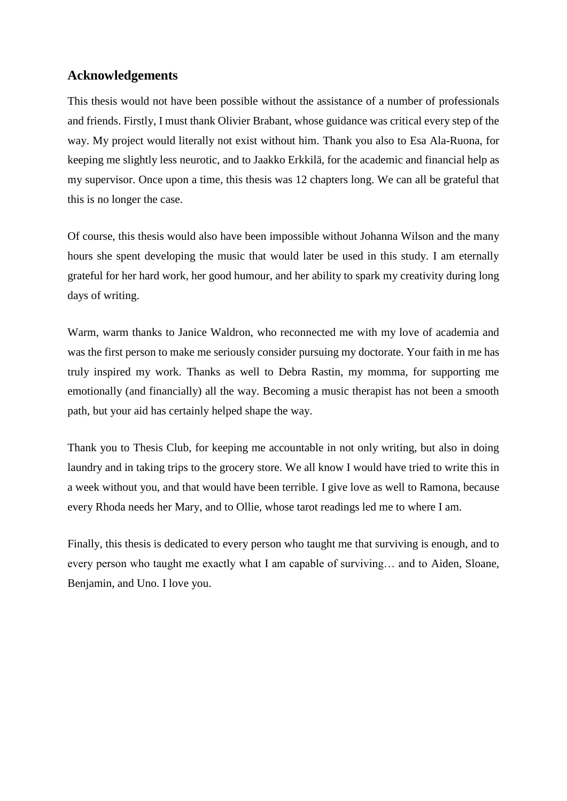## **Acknowledgements**

This thesis would not have been possible without the assistance of a number of professionals and friends. Firstly, I must thank Olivier Brabant, whose guidance was critical every step of the way. My project would literally not exist without him. Thank you also to Esa Ala-Ruona, for keeping me slightly less neurotic, and to Jaakko Erkkilä, for the academic and financial help as my supervisor. Once upon a time, this thesis was 12 chapters long. We can all be grateful that this is no longer the case.

Of course, this thesis would also have been impossible without Johanna Wilson and the many hours she spent developing the music that would later be used in this study. I am eternally grateful for her hard work, her good humour, and her ability to spark my creativity during long days of writing.

Warm, warm thanks to Janice Waldron, who reconnected me with my love of academia and was the first person to make me seriously consider pursuing my doctorate. Your faith in me has truly inspired my work. Thanks as well to Debra Rastin, my momma, for supporting me emotionally (and financially) all the way. Becoming a music therapist has not been a smooth path, but your aid has certainly helped shape the way.

Thank you to Thesis Club, for keeping me accountable in not only writing, but also in doing laundry and in taking trips to the grocery store. We all know I would have tried to write this in a week without you, and that would have been terrible. I give love as well to Ramona, because every Rhoda needs her Mary, and to Ollie, whose tarot readings led me to where I am.

Finally, this thesis is dedicated to every person who taught me that surviving is enough, and to every person who taught me exactly what I am capable of surviving… and to Aiden, Sloane, Benjamin, and Uno. I love you.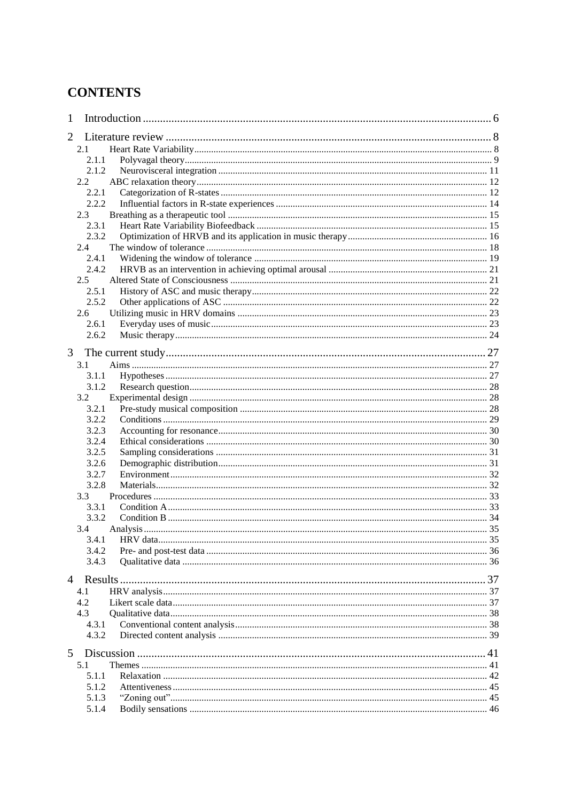# **CONTENTS**

| 1              |               |  |
|----------------|---------------|--|
| 2              |               |  |
|                | 2.1           |  |
|                | 2.1.1         |  |
|                | 2.1.2         |  |
|                | $2.2^{\circ}$ |  |
|                | 2.2.1         |  |
|                | 2.2.2         |  |
|                | 2.3           |  |
|                | 2.3.1         |  |
|                | 2.3.2         |  |
|                | 2.4           |  |
|                | 2.4.1         |  |
|                | 2.4.2         |  |
|                | $2.5^{\circ}$ |  |
|                | 2.5.1         |  |
|                | 2.5.2         |  |
|                | 2.6           |  |
|                | 2.6.1         |  |
|                | 2.6.2         |  |
|                |               |  |
| 3              |               |  |
|                | 3.1           |  |
|                | 3.1.1         |  |
|                | 3.1.2         |  |
|                | 3.2           |  |
|                | 3.2.1         |  |
|                | 3.2.2         |  |
|                | 3.2.3         |  |
|                | 3.2.4         |  |
|                | 3.2.5         |  |
|                | 3.2.6         |  |
|                | 3.2.7         |  |
|                | 3.2.8         |  |
|                | 3.3           |  |
|                | 3.3.1         |  |
|                | 3.3.2         |  |
|                | 3.4           |  |
|                | 3.4.1         |  |
|                | 3.4.2         |  |
|                | 3.4.3         |  |
|                |               |  |
| $\overline{4}$ |               |  |
|                | 4.1           |  |
|                | 4.2           |  |
|                | 4.3           |  |
|                | 4.3.1         |  |
|                | 4.3.2         |  |
| 5              |               |  |
|                | 5.1           |  |
|                | 5.1.1         |  |
|                | 5.1.2         |  |
|                | 5.1.3         |  |
|                | 5.1.4         |  |
|                |               |  |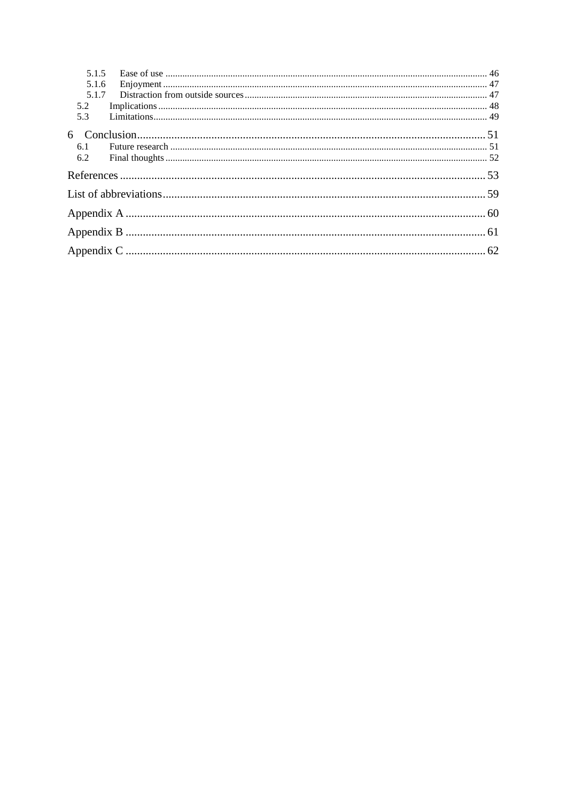| 5.2 |  |
|-----|--|
| 5.3 |  |
|     |  |
| 6.1 |  |
| 6.2 |  |
|     |  |
|     |  |
|     |  |
|     |  |
|     |  |
|     |  |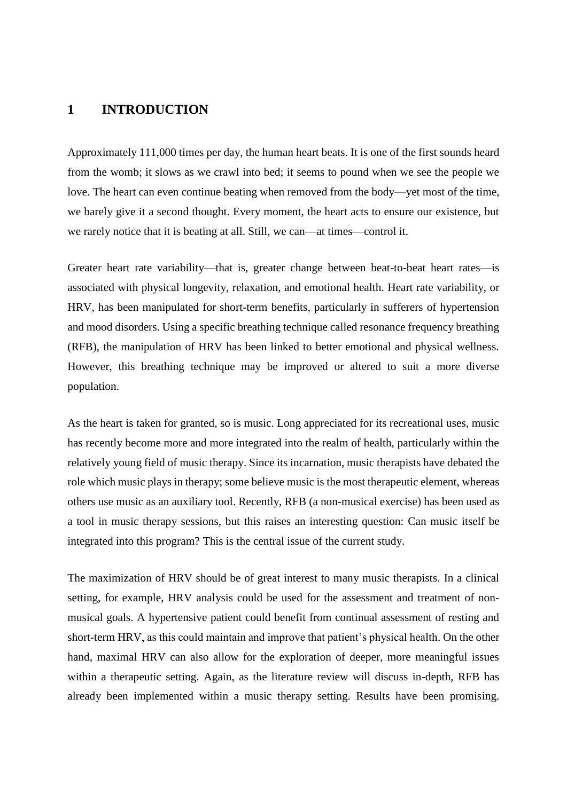## **1 INTRODUCTION**

Approximately 111,000 times per day, the human heart beats. It is one of the first sounds heard from the womb; it slows as we crawl into bed; it seems to pound when we see the people we love. The heart can even continue beating when removed from the body—yet most of the time, we barely give it a second thought. Every moment, the heart acts to ensure our existence, but we rarely notice that it is beating at all. Still, we can—at times—control it.

Greater heart rate variability—that is, greater change between beat-to-beat heart rates—is associated with physical longevity, relaxation, and emotional health. Heart rate variability, or HRV, has been manipulated for short-term benefits, particularly in sufferers of hypertension and mood disorders. Using a specific breathing technique called resonance frequency breathing (RFB), the manipulation of HRV has been linked to better emotional and physical wellness. However, this breathing technique may be improved or altered to suit a more diverse population.

As the heart is taken for granted, so is music. Long appreciated for its recreational uses, music has recently become more and more integrated into the realm of health, particularly within the relatively young field of music therapy. Since its incarnation, music therapists have debated the role which music plays in therapy; some believe music is the most therapeutic element, whereas others use music as an auxiliary tool. Recently, RFB (a non-musical exercise) has been used as a tool in music therapy sessions, but this raises an interesting question: Can music itself be integrated into this program? This is the central issue of the current study.

The maximization of HRV should be of great interest to many music therapists. In a clinical setting, for example, HRV analysis could be used for the assessment and treatment of nonmusical goals. A hypertensive patient could benefit from continual assessment of resting and short-term HRV, as this could maintain and improve that patient's physical health. On the other hand, maximal HRV can also allow for the exploration of deeper, more meaningful issues within a therapeutic setting. Again, as the literature review will discuss in-depth, RFB has already been implemented within a music therapy setting. Results have been promising.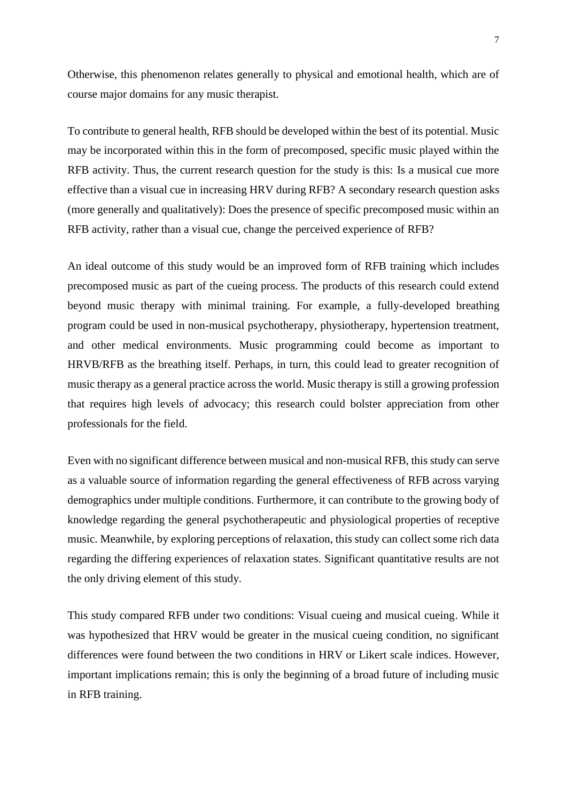Otherwise, this phenomenon relates generally to physical and emotional health, which are of course major domains for any music therapist.

To contribute to general health, RFB should be developed within the best of its potential. Music may be incorporated within this in the form of precomposed, specific music played within the RFB activity. Thus, the current research question for the study is this: Is a musical cue more effective than a visual cue in increasing HRV during RFB? A secondary research question asks (more generally and qualitatively): Does the presence of specific precomposed music within an RFB activity, rather than a visual cue, change the perceived experience of RFB?

An ideal outcome of this study would be an improved form of RFB training which includes precomposed music as part of the cueing process. The products of this research could extend beyond music therapy with minimal training. For example, a fully-developed breathing program could be used in non-musical psychotherapy, physiotherapy, hypertension treatment, and other medical environments. Music programming could become as important to HRVB/RFB as the breathing itself. Perhaps, in turn, this could lead to greater recognition of music therapy as a general practice across the world. Music therapy is still a growing profession that requires high levels of advocacy; this research could bolster appreciation from other professionals for the field.

Even with no significant difference between musical and non-musical RFB, this study can serve as a valuable source of information regarding the general effectiveness of RFB across varying demographics under multiple conditions. Furthermore, it can contribute to the growing body of knowledge regarding the general psychotherapeutic and physiological properties of receptive music. Meanwhile, by exploring perceptions of relaxation, this study can collect some rich data regarding the differing experiences of relaxation states. Significant quantitative results are not the only driving element of this study.

This study compared RFB under two conditions: Visual cueing and musical cueing. While it was hypothesized that HRV would be greater in the musical cueing condition, no significant differences were found between the two conditions in HRV or Likert scale indices. However, important implications remain; this is only the beginning of a broad future of including music in RFB training.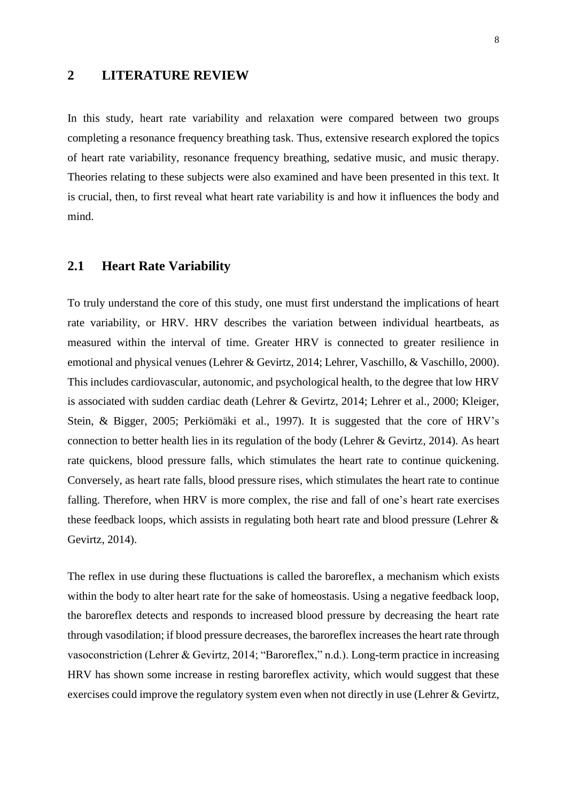## **2 LITERATURE REVIEW**

In this study, heart rate variability and relaxation were compared between two groups completing a resonance frequency breathing task. Thus, extensive research explored the topics of heart rate variability, resonance frequency breathing, sedative music, and music therapy. Theories relating to these subjects were also examined and have been presented in this text. It is crucial, then, to first reveal what heart rate variability is and how it influences the body and mind.

## **2.1 Heart Rate Variability**

To truly understand the core of this study, one must first understand the implications of heart rate variability, or HRV. HRV describes the variation between individual heartbeats, as measured within the interval of time. Greater HRV is connected to greater resilience in emotional and physical venues (Lehrer & Gevirtz, 2014; Lehrer, Vaschillo, & Vaschillo, 2000). This includes cardiovascular, autonomic, and psychological health, to the degree that low HRV is associated with sudden cardiac death (Lehrer & Gevirtz, 2014; Lehrer et al., 2000; Kleiger, Stein, & Bigger, 2005; Perkiömäki et al., 1997). It is suggested that the core of HRV's connection to better health lies in its regulation of the body (Lehrer & Gevirtz, 2014). As heart rate quickens, blood pressure falls, which stimulates the heart rate to continue quickening. Conversely, as heart rate falls, blood pressure rises, which stimulates the heart rate to continue falling. Therefore, when HRV is more complex, the rise and fall of one's heart rate exercises these feedback loops, which assists in regulating both heart rate and blood pressure (Lehrer & Gevirtz, 2014).

The reflex in use during these fluctuations is called the baroreflex, a mechanism which exists within the body to alter heart rate for the sake of homeostasis. Using a negative feedback loop, the baroreflex detects and responds to increased blood pressure by decreasing the heart rate through vasodilation; if blood pressure decreases, the baroreflex increases the heart rate through vasoconstriction (Lehrer & Gevirtz, 2014; "Baroreflex," n.d.). Long-term practice in increasing HRV has shown some increase in resting baroreflex activity, which would suggest that these exercises could improve the regulatory system even when not directly in use (Lehrer & Gevirtz,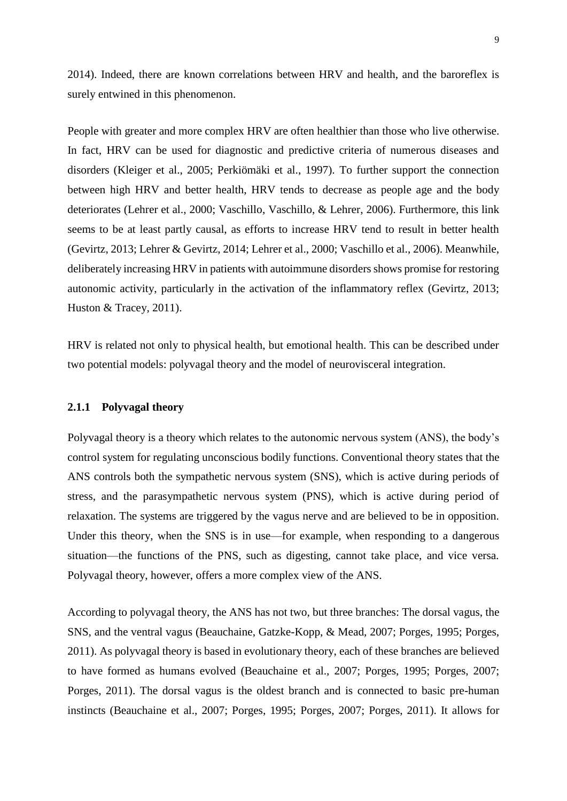2014). Indeed, there are known correlations between HRV and health, and the baroreflex is surely entwined in this phenomenon.

People with greater and more complex HRV are often healthier than those who live otherwise. In fact, HRV can be used for diagnostic and predictive criteria of numerous diseases and disorders (Kleiger et al., 2005; Perkiömäki et al., 1997). To further support the connection between high HRV and better health, HRV tends to decrease as people age and the body deteriorates (Lehrer et al., 2000; Vaschillo, Vaschillo, & Lehrer, 2006). Furthermore, this link seems to be at least partly causal, as efforts to increase HRV tend to result in better health (Gevirtz, 2013; Lehrer & Gevirtz, 2014; Lehrer et al., 2000; Vaschillo et al., 2006). Meanwhile, deliberately increasing HRV in patients with autoimmune disorders shows promise for restoring autonomic activity, particularly in the activation of the inflammatory reflex (Gevirtz, 2013; Huston & Tracey, 2011).

HRV is related not only to physical health, but emotional health. This can be described under two potential models: polyvagal theory and the model of neurovisceral integration.

#### **2.1.1 Polyvagal theory**

Polyvagal theory is a theory which relates to the autonomic nervous system (ANS), the body's control system for regulating unconscious bodily functions. Conventional theory states that the ANS controls both the sympathetic nervous system (SNS), which is active during periods of stress, and the parasympathetic nervous system (PNS), which is active during period of relaxation. The systems are triggered by the vagus nerve and are believed to be in opposition. Under this theory, when the SNS is in use—for example, when responding to a dangerous situation—the functions of the PNS, such as digesting, cannot take place, and vice versa. Polyvagal theory, however, offers a more complex view of the ANS.

According to polyvagal theory, the ANS has not two, but three branches: The dorsal vagus, the SNS, and the ventral vagus (Beauchaine, Gatzke-Kopp, & Mead, 2007; Porges, 1995; Porges, 2011). As polyvagal theory is based in evolutionary theory, each of these branches are believed to have formed as humans evolved (Beauchaine et al., 2007; Porges, 1995; Porges, 2007; Porges, 2011). The dorsal vagus is the oldest branch and is connected to basic pre-human instincts (Beauchaine et al., 2007; Porges, 1995; Porges, 2007; Porges, 2011). It allows for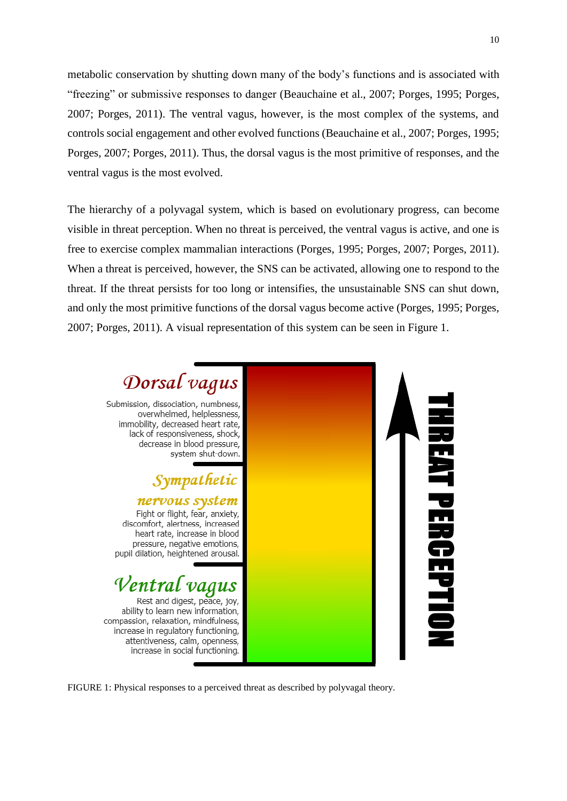metabolic conservation by shutting down many of the body's functions and is associated with "freezing" or submissive responses to danger (Beauchaine et al., 2007; Porges, 1995; Porges, 2007; Porges, 2011). The ventral vagus, however, is the most complex of the systems, and controls social engagement and other evolved functions (Beauchaine et al., 2007; Porges, 1995; Porges, 2007; Porges, 2011). Thus, the dorsal vagus is the most primitive of responses, and the ventral vagus is the most evolved.

The hierarchy of a polyvagal system, which is based on evolutionary progress, can become visible in threat perception. When no threat is perceived, the ventral vagus is active, and one is free to exercise complex mammalian interactions (Porges, 1995; Porges, 2007; Porges, 2011). When a threat is perceived, however, the SNS can be activated, allowing one to respond to the threat. If the threat persists for too long or intensifies, the unsustainable SNS can shut down, and only the most primitive functions of the dorsal vagus become active (Porges, 1995; Porges, 2007; Porges, 2011). A visual representation of this system can be seen in Figure 1.



FIGURE 1: Physical responses to a perceived threat as described by polyvagal theory.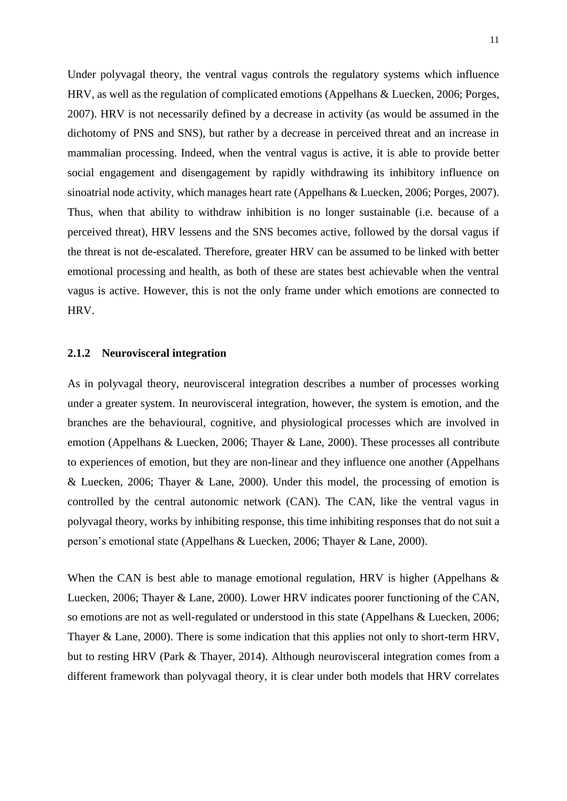Under polyvagal theory, the ventral vagus controls the regulatory systems which influence HRV, as well as the regulation of complicated emotions (Appelhans & Luecken, 2006; Porges, 2007). HRV is not necessarily defined by a decrease in activity (as would be assumed in the dichotomy of PNS and SNS), but rather by a decrease in perceived threat and an increase in mammalian processing. Indeed, when the ventral vagus is active, it is able to provide better social engagement and disengagement by rapidly withdrawing its inhibitory influence on sinoatrial node activity, which manages heart rate (Appelhans & Luecken, 2006; Porges, 2007). Thus, when that ability to withdraw inhibition is no longer sustainable (i.e. because of a perceived threat), HRV lessens and the SNS becomes active, followed by the dorsal vagus if the threat is not de-escalated. Therefore, greater HRV can be assumed to be linked with better emotional processing and health, as both of these are states best achievable when the ventral vagus is active. However, this is not the only frame under which emotions are connected to HRV.

#### **2.1.2 Neurovisceral integration**

As in polyvagal theory, neurovisceral integration describes a number of processes working under a greater system. In neurovisceral integration, however, the system is emotion, and the branches are the behavioural, cognitive, and physiological processes which are involved in emotion (Appelhans & Luecken, 2006; Thayer & Lane, 2000). These processes all contribute to experiences of emotion, but they are non-linear and they influence one another (Appelhans & Luecken, 2006; Thayer & Lane, 2000). Under this model, the processing of emotion is controlled by the central autonomic network (CAN). The CAN, like the ventral vagus in polyvagal theory, works by inhibiting response, this time inhibiting responses that do not suit a person's emotional state (Appelhans & Luecken, 2006; Thayer & Lane, 2000).

When the CAN is best able to manage emotional regulation, HRV is higher (Appelhans & Luecken, 2006; Thayer & Lane, 2000). Lower HRV indicates poorer functioning of the CAN, so emotions are not as well-regulated or understood in this state (Appelhans & Luecken, 2006; Thayer & Lane, 2000). There is some indication that this applies not only to short-term HRV, but to resting HRV (Park & Thayer, 2014). Although neurovisceral integration comes from a different framework than polyvagal theory, it is clear under both models that HRV correlates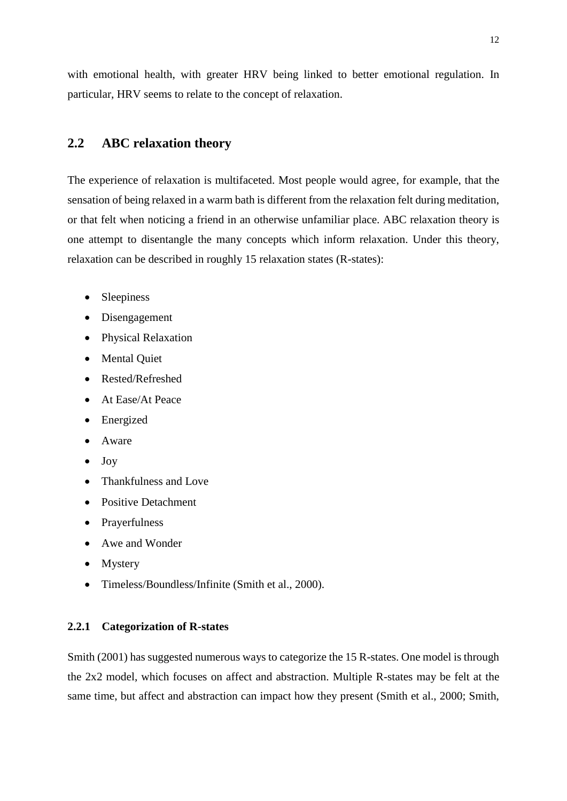with emotional health, with greater HRV being linked to better emotional regulation. In particular, HRV seems to relate to the concept of relaxation.

# **2.2 ABC relaxation theory**

The experience of relaxation is multifaceted. Most people would agree, for example, that the sensation of being relaxed in a warm bath is different from the relaxation felt during meditation, or that felt when noticing a friend in an otherwise unfamiliar place. ABC relaxation theory is one attempt to disentangle the many concepts which inform relaxation. Under this theory, relaxation can be described in roughly 15 relaxation states (R-states):

- Sleepiness
- Disengagement
- Physical Relaxation
- Mental Quiet
- Rested/Refreshed
- At Ease/At Peace
- Energized
- Aware
- Joy
- Thankfulness and Love
- Positive Detachment
- Prayerfulness
- Awe and Wonder
- Mystery
- Timeless/Boundless/Infinite (Smith et al., 2000).

#### **2.2.1 Categorization of R-states**

Smith (2001) has suggested numerous ways to categorize the 15 R-states. One model is through the 2x2 model, which focuses on affect and abstraction. Multiple R-states may be felt at the same time, but affect and abstraction can impact how they present (Smith et al., 2000; Smith,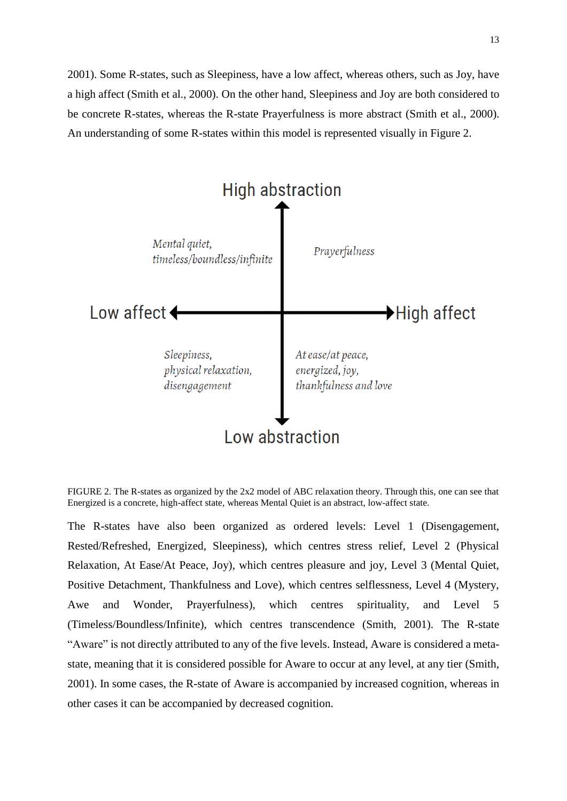2001). Some R-states, such as Sleepiness, have a low affect, whereas others, such as Joy, have a high affect (Smith et al., 2000). On the other hand, Sleepiness and Joy are both considered to be concrete R-states, whereas the R-state Prayerfulness is more abstract (Smith et al., 2000). An understanding of some R-states within this model is represented visually in Figure 2.



FIGURE 2. The R-states as organized by the 2x2 model of ABC relaxation theory. Through this, one can see that Energized is a concrete, high-affect state, whereas Mental Quiet is an abstract, low-affect state.

The R-states have also been organized as ordered levels: Level 1 (Disengagement, Rested/Refreshed, Energized, Sleepiness), which centres stress relief, Level 2 (Physical Relaxation, At Ease/At Peace, Joy), which centres pleasure and joy, Level 3 (Mental Quiet, Positive Detachment, Thankfulness and Love), which centres selflessness, Level 4 (Mystery, Awe and Wonder, Prayerfulness), which centres spirituality, and Level 5 (Timeless/Boundless/Infinite), which centres transcendence (Smith, 2001). The R-state "Aware" is not directly attributed to any of the five levels. Instead, Aware is considered a metastate, meaning that it is considered possible for Aware to occur at any level, at any tier (Smith, 2001). In some cases, the R-state of Aware is accompanied by increased cognition, whereas in other cases it can be accompanied by decreased cognition.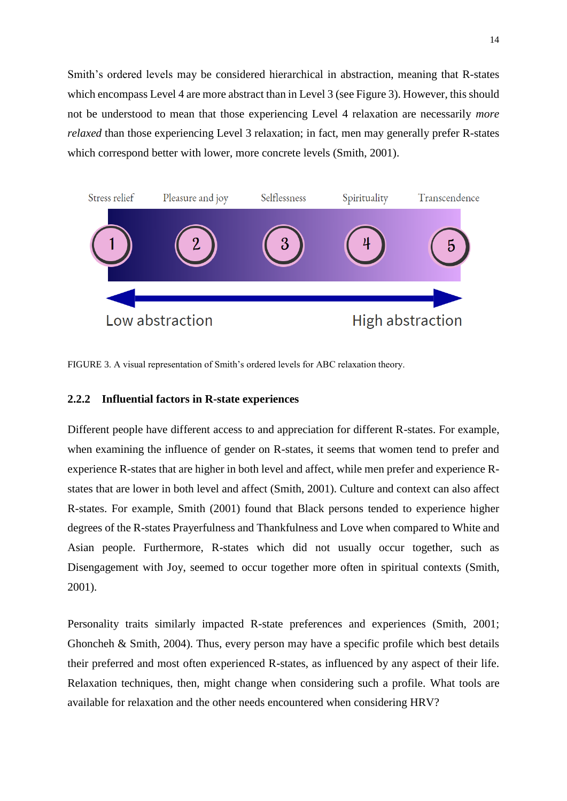Smith's ordered levels may be considered hierarchical in abstraction, meaning that R-states which encompass Level 4 are more abstract than in Level 3 (see Figure 3). However, this should not be understood to mean that those experiencing Level 4 relaxation are necessarily *more relaxed* than those experiencing Level 3 relaxation; in fact, men may generally prefer R-states which correspond better with lower, more concrete levels (Smith, 2001).



FIGURE 3. A visual representation of Smith's ordered levels for ABC relaxation theory.

#### **2.2.2 Influential factors in R-state experiences**

Different people have different access to and appreciation for different R-states. For example, when examining the influence of gender on R-states, it seems that women tend to prefer and experience R-states that are higher in both level and affect, while men prefer and experience Rstates that are lower in both level and affect (Smith, 2001). Culture and context can also affect R-states. For example, Smith (2001) found that Black persons tended to experience higher degrees of the R-states Prayerfulness and Thankfulness and Love when compared to White and Asian people. Furthermore, R-states which did not usually occur together, such as Disengagement with Joy, seemed to occur together more often in spiritual contexts (Smith, 2001).

Personality traits similarly impacted R-state preferences and experiences (Smith, 2001; Ghoncheh & Smith, 2004). Thus, every person may have a specific profile which best details their preferred and most often experienced R-states, as influenced by any aspect of their life. Relaxation techniques, then, might change when considering such a profile. What tools are available for relaxation and the other needs encountered when considering HRV?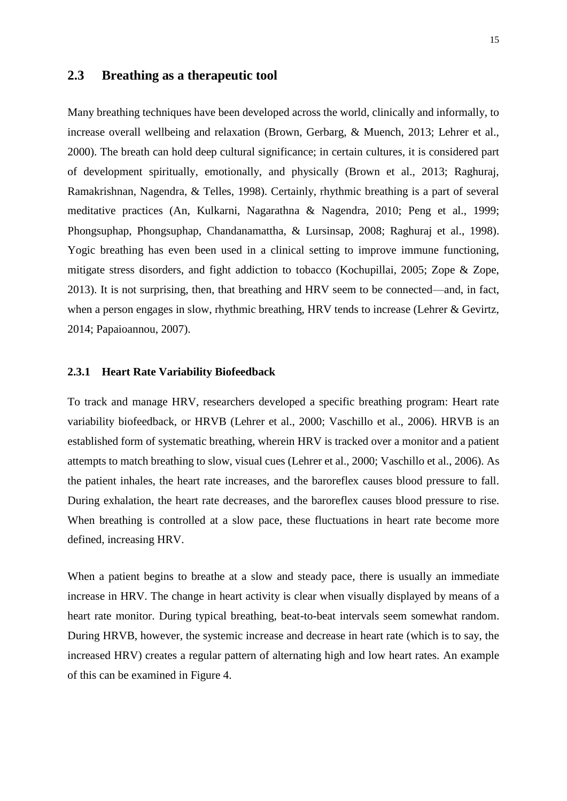## **2.3 Breathing as a therapeutic tool**

Many breathing techniques have been developed across the world, clinically and informally, to increase overall wellbeing and relaxation (Brown, Gerbarg, & Muench, 2013; Lehrer et al., 2000). The breath can hold deep cultural significance; in certain cultures, it is considered part of development spiritually, emotionally, and physically (Brown et al., 2013; Raghuraj, Ramakrishnan, Nagendra, & Telles, 1998). Certainly, rhythmic breathing is a part of several meditative practices (An, Kulkarni, Nagarathna & Nagendra, 2010; Peng et al., 1999; Phongsuphap, Phongsuphap, Chandanamattha, & Lursinsap, 2008; Raghuraj et al., 1998). Yogic breathing has even been used in a clinical setting to improve immune functioning, mitigate stress disorders, and fight addiction to tobacco (Kochupillai, 2005; Zope & Zope, 2013). It is not surprising, then, that breathing and HRV seem to be connected—and, in fact, when a person engages in slow, rhythmic breathing, HRV tends to increase (Lehrer & Gevirtz, 2014; Papaioannou, 2007).

#### **2.3.1 Heart Rate Variability Biofeedback**

To track and manage HRV, researchers developed a specific breathing program: Heart rate variability biofeedback, or HRVB (Lehrer et al., 2000; Vaschillo et al., 2006). HRVB is an established form of systematic breathing, wherein HRV is tracked over a monitor and a patient attempts to match breathing to slow, visual cues (Lehrer et al., 2000; Vaschillo et al., 2006). As the patient inhales, the heart rate increases, and the baroreflex causes blood pressure to fall. During exhalation, the heart rate decreases, and the baroreflex causes blood pressure to rise. When breathing is controlled at a slow pace, these fluctuations in heart rate become more defined, increasing HRV.

When a patient begins to breathe at a slow and steady pace, there is usually an immediate increase in HRV. The change in heart activity is clear when visually displayed by means of a heart rate monitor. During typical breathing, beat-to-beat intervals seem somewhat random. During HRVB, however, the systemic increase and decrease in heart rate (which is to say, the increased HRV) creates a regular pattern of alternating high and low heart rates. An example of this can be examined in Figure 4.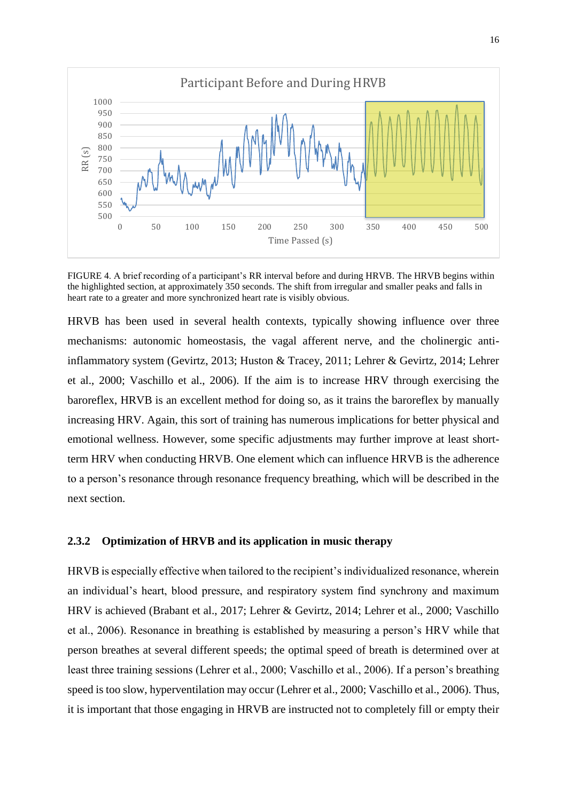

FIGURE 4. A brief recording of a participant's RR interval before and during HRVB. The HRVB begins within the highlighted section, at approximately 350 seconds. The shift from irregular and smaller peaks and falls in heart rate to a greater and more synchronized heart rate is visibly obvious.

HRVB has been used in several health contexts, typically showing influence over three mechanisms: autonomic homeostasis, the vagal afferent nerve, and the cholinergic antiinflammatory system (Gevirtz, 2013; Huston & Tracey, 2011; Lehrer & Gevirtz, 2014; Lehrer et al., 2000; Vaschillo et al., 2006). If the aim is to increase HRV through exercising the baroreflex, HRVB is an excellent method for doing so, as it trains the baroreflex by manually increasing HRV. Again, this sort of training has numerous implications for better physical and emotional wellness. However, some specific adjustments may further improve at least shortterm HRV when conducting HRVB. One element which can influence HRVB is the adherence to a person's resonance through resonance frequency breathing, which will be described in the next section.

#### **2.3.2 Optimization of HRVB and its application in music therapy**

HRVB is especially effective when tailored to the recipient's individualized resonance, wherein an individual's heart, blood pressure, and respiratory system find synchrony and maximum HRV is achieved (Brabant et al., 2017; Lehrer & Gevirtz, 2014; Lehrer et al., 2000; Vaschillo et al., 2006). Resonance in breathing is established by measuring a person's HRV while that person breathes at several different speeds; the optimal speed of breath is determined over at least three training sessions (Lehrer et al., 2000; Vaschillo et al., 2006). If a person's breathing speed is too slow, hyperventilation may occur (Lehrer et al., 2000; Vaschillo et al., 2006). Thus, it is important that those engaging in HRVB are instructed not to completely fill or empty their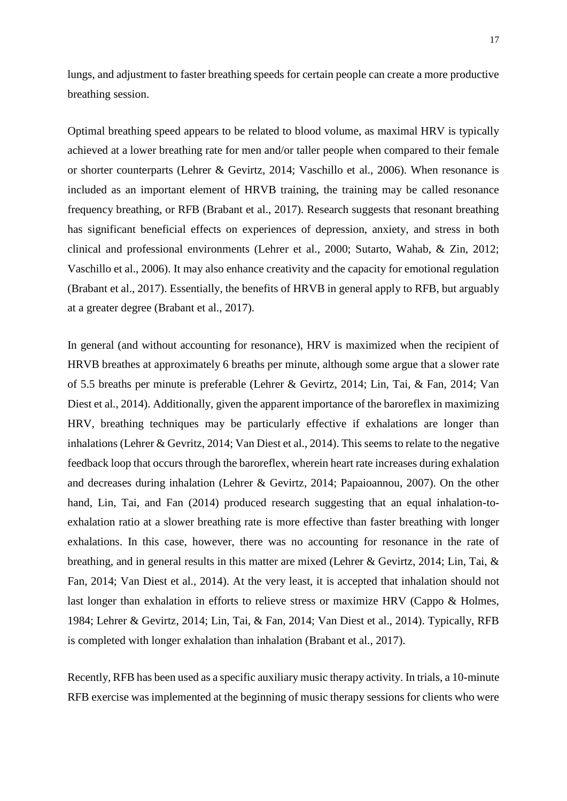lungs, and adjustment to faster breathing speeds for certain people can create a more productive breathing session.

Optimal breathing speed appears to be related to blood volume, as maximal HRV is typically achieved at a lower breathing rate for men and/or taller people when compared to their female or shorter counterparts (Lehrer & Gevirtz, 2014; Vaschillo et al., 2006). When resonance is included as an important element of HRVB training, the training may be called resonance frequency breathing, or RFB (Brabant et al., 2017). Research suggests that resonant breathing has significant beneficial effects on experiences of depression, anxiety, and stress in both clinical and professional environments (Lehrer et al., 2000; Sutarto, Wahab, & Zin, 2012; Vaschillo et al., 2006). It may also enhance creativity and the capacity for emotional regulation (Brabant et al., 2017). Essentially, the benefits of HRVB in general apply to RFB, but arguably at a greater degree (Brabant et al., 2017).

In general (and without accounting for resonance), HRV is maximized when the recipient of HRVB breathes at approximately 6 breaths per minute, although some argue that a slower rate of 5.5 breaths per minute is preferable (Lehrer & Gevirtz, 2014; Lin, Tai, & Fan, 2014; Van Diest et al., 2014). Additionally, given the apparent importance of the baroreflex in maximizing HRV, breathing techniques may be particularly effective if exhalations are longer than inhalations (Lehrer & Gevritz, 2014; Van Diest et al., 2014). This seems to relate to the negative feedback loop that occurs through the baroreflex, wherein heart rate increases during exhalation and decreases during inhalation (Lehrer & Gevirtz, 2014; Papaioannou, 2007). On the other hand, Lin, Tai, and Fan (2014) produced research suggesting that an equal inhalation-toexhalation ratio at a slower breathing rate is more effective than faster breathing with longer exhalations. In this case, however, there was no accounting for resonance in the rate of breathing, and in general results in this matter are mixed (Lehrer & Gevirtz, 2014; Lin, Tai, & Fan, 2014; Van Diest et al., 2014). At the very least, it is accepted that inhalation should not last longer than exhalation in efforts to relieve stress or maximize HRV (Cappo & Holmes, 1984; Lehrer & Gevirtz, 2014; Lin, Tai, & Fan, 2014; Van Diest et al., 2014). Typically, RFB is completed with longer exhalation than inhalation (Brabant et al., 2017).

Recently, RFB has been used as a specific auxiliary music therapy activity. In trials, a 10-minute RFB exercise was implemented at the beginning of music therapy sessions for clients who were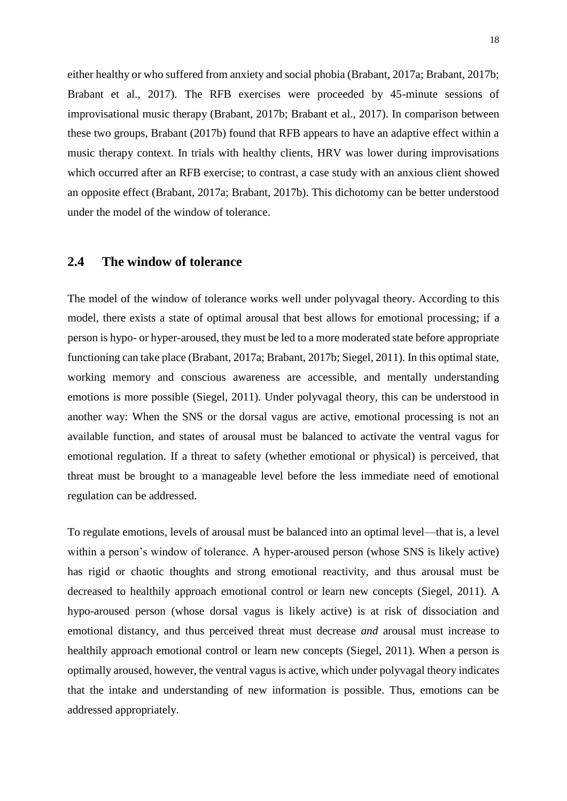either healthy or who suffered from anxiety and social phobia (Brabant, 2017a; Brabant, 2017b; Brabant et al., 2017). The RFB exercises were proceeded by 45-minute sessions of improvisational music therapy (Brabant, 2017b; Brabant et al., 2017). In comparison between these two groups, Brabant (2017b) found that RFB appears to have an adaptive effect within a music therapy context. In trials with healthy clients, HRV was lower during improvisations which occurred after an RFB exercise; to contrast, a case study with an anxious client showed an opposite effect (Brabant, 2017a; Brabant, 2017b). This dichotomy can be better understood under the model of the window of tolerance.

## **2.4 The window of tolerance**

The model of the window of tolerance works well under polyvagal theory. According to this model, there exists a state of optimal arousal that best allows for emotional processing; if a person is hypo- or hyper-aroused, they must be led to a more moderated state before appropriate functioning can take place (Brabant, 2017a; Brabant, 2017b; Siegel, 2011). In this optimal state, working memory and conscious awareness are accessible, and mentally understanding emotions is more possible (Siegel, 2011). Under polyvagal theory, this can be understood in another way: When the SNS or the dorsal vagus are active, emotional processing is not an available function, and states of arousal must be balanced to activate the ventral vagus for emotional regulation. If a threat to safety (whether emotional or physical) is perceived, that threat must be brought to a manageable level before the less immediate need of emotional regulation can be addressed.

To regulate emotions, levels of arousal must be balanced into an optimal level—that is, a level within a person's window of tolerance. A hyper-aroused person (whose SNS is likely active) has rigid or chaotic thoughts and strong emotional reactivity, and thus arousal must be decreased to healthily approach emotional control or learn new concepts (Siegel, 2011). A hypo-aroused person (whose dorsal vagus is likely active) is at risk of dissociation and emotional distancy, and thus perceived threat must decrease *and* arousal must increase to healthily approach emotional control or learn new concepts (Siegel, 2011). When a person is optimally aroused, however, the ventral vagus is active, which under polyvagal theory indicates that the intake and understanding of new information is possible. Thus, emotions can be addressed appropriately.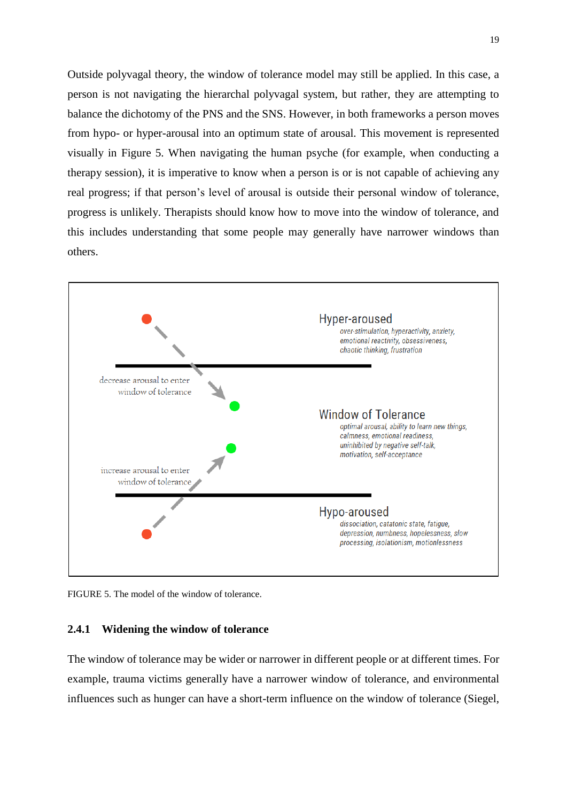Outside polyvagal theory, the window of tolerance model may still be applied. In this case, a person is not navigating the hierarchal polyvagal system, but rather, they are attempting to balance the dichotomy of the PNS and the SNS. However, in both frameworks a person moves from hypo- or hyper-arousal into an optimum state of arousal. This movement is represented visually in Figure 5. When navigating the human psyche (for example, when conducting a therapy session), it is imperative to know when a person is or is not capable of achieving any real progress; if that person's level of arousal is outside their personal window of tolerance, progress is unlikely. Therapists should know how to move into the window of tolerance, and this includes understanding that some people may generally have narrower windows than others.



FIGURE 5. The model of the window of tolerance.

## **2.4.1 Widening the window of tolerance**

The window of tolerance may be wider or narrower in different people or at different times. For example, trauma victims generally have a narrower window of tolerance, and environmental influences such as hunger can have a short-term influence on the window of tolerance (Siegel,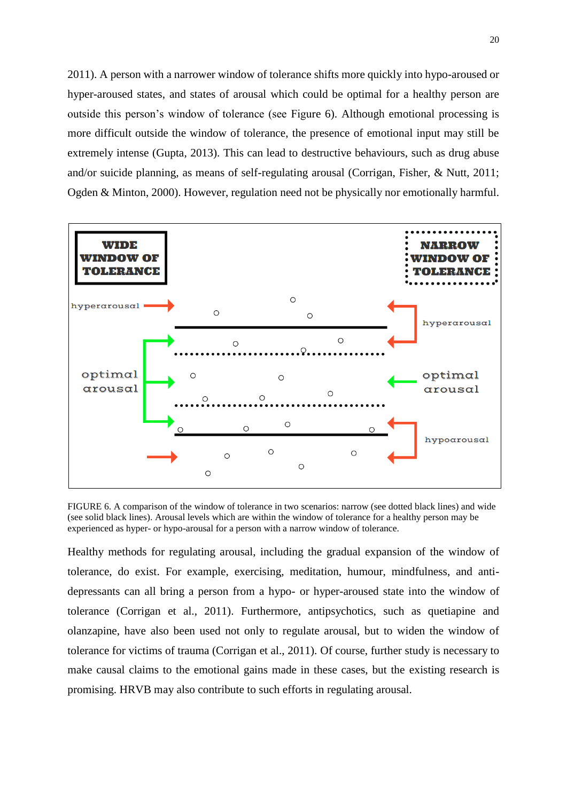2011). A person with a narrower window of tolerance shifts more quickly into hypo-aroused or hyper-aroused states, and states of arousal which could be optimal for a healthy person are outside this person's window of tolerance (see Figure 6). Although emotional processing is more difficult outside the window of tolerance, the presence of emotional input may still be extremely intense (Gupta, 2013). This can lead to destructive behaviours, such as drug abuse and/or suicide planning, as means of self-regulating arousal (Corrigan, Fisher, & Nutt, 2011; Ogden & Minton, 2000). However, regulation need not be physically nor emotionally harmful.



FIGURE 6. A comparison of the window of tolerance in two scenarios: narrow (see dotted black lines) and wide (see solid black lines). Arousal levels which are within the window of tolerance for a healthy person may be experienced as hyper- or hypo-arousal for a person with a narrow window of tolerance.

Healthy methods for regulating arousal, including the gradual expansion of the window of tolerance, do exist. For example, exercising, meditation, humour, mindfulness, and antidepressants can all bring a person from a hypo- or hyper-aroused state into the window of tolerance (Corrigan et al., 2011). Furthermore, antipsychotics, such as quetiapine and olanzapine, have also been used not only to regulate arousal, but to widen the window of tolerance for victims of trauma (Corrigan et al., 2011). Of course, further study is necessary to make causal claims to the emotional gains made in these cases, but the existing research is promising. HRVB may also contribute to such efforts in regulating arousal.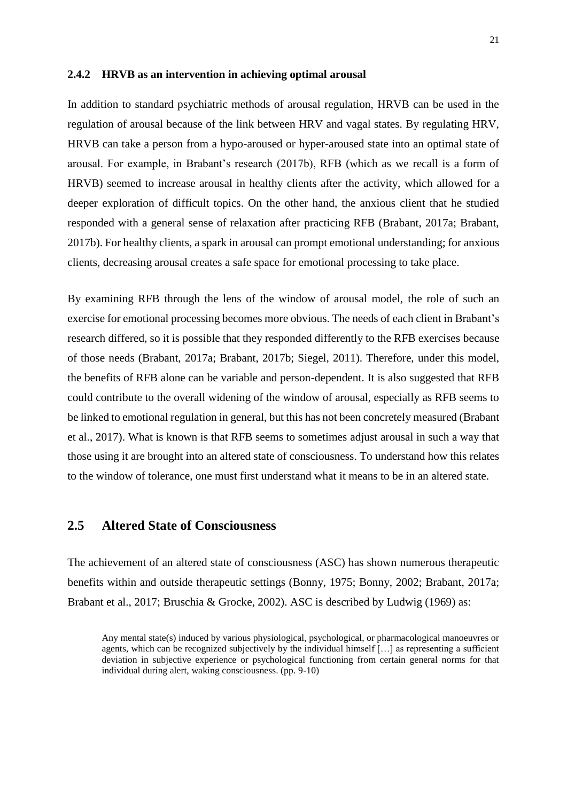#### **2.4.2 HRVB as an intervention in achieving optimal arousal**

In addition to standard psychiatric methods of arousal regulation, HRVB can be used in the regulation of arousal because of the link between HRV and vagal states. By regulating HRV, HRVB can take a person from a hypo-aroused or hyper-aroused state into an optimal state of arousal. For example, in Brabant's research (2017b), RFB (which as we recall is a form of HRVB) seemed to increase arousal in healthy clients after the activity, which allowed for a deeper exploration of difficult topics. On the other hand, the anxious client that he studied responded with a general sense of relaxation after practicing RFB (Brabant, 2017a; Brabant, 2017b). For healthy clients, a spark in arousal can prompt emotional understanding; for anxious clients, decreasing arousal creates a safe space for emotional processing to take place.

By examining RFB through the lens of the window of arousal model, the role of such an exercise for emotional processing becomes more obvious. The needs of each client in Brabant's research differed, so it is possible that they responded differently to the RFB exercises because of those needs (Brabant, 2017a; Brabant, 2017b; Siegel, 2011). Therefore, under this model, the benefits of RFB alone can be variable and person-dependent. It is also suggested that RFB could contribute to the overall widening of the window of arousal, especially as RFB seems to be linked to emotional regulation in general, but this has not been concretely measured (Brabant et al., 2017). What is known is that RFB seems to sometimes adjust arousal in such a way that those using it are brought into an altered state of consciousness. To understand how this relates to the window of tolerance, one must first understand what it means to be in an altered state.

## **2.5 Altered State of Consciousness**

The achievement of an altered state of consciousness (ASC) has shown numerous therapeutic benefits within and outside therapeutic settings (Bonny, 1975; Bonny, 2002; Brabant, 2017a; Brabant et al., 2017; Bruschia & Grocke, 2002). ASC is described by Ludwig (1969) as:

Any mental state(s) induced by various physiological, psychological, or pharmacological manoeuvres or agents, which can be recognized subjectively by the individual himself […] as representing a sufficient deviation in subjective experience or psychological functioning from certain general norms for that individual during alert, waking consciousness. (pp. 9-10)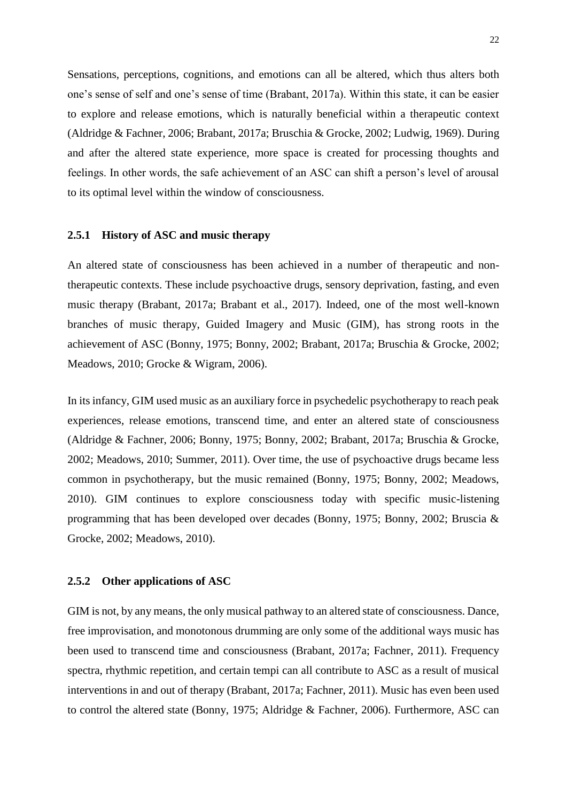Sensations, perceptions, cognitions, and emotions can all be altered, which thus alters both one's sense of self and one's sense of time (Brabant, 2017a). Within this state, it can be easier to explore and release emotions, which is naturally beneficial within a therapeutic context (Aldridge & Fachner, 2006; Brabant, 2017a; Bruschia & Grocke, 2002; Ludwig, 1969). During and after the altered state experience, more space is created for processing thoughts and feelings. In other words, the safe achievement of an ASC can shift a person's level of arousal to its optimal level within the window of consciousness.

#### **2.5.1 History of ASC and music therapy**

An altered state of consciousness has been achieved in a number of therapeutic and nontherapeutic contexts. These include psychoactive drugs, sensory deprivation, fasting, and even music therapy (Brabant, 2017a; Brabant et al., 2017). Indeed, one of the most well-known branches of music therapy, Guided Imagery and Music (GIM), has strong roots in the achievement of ASC (Bonny, 1975; Bonny, 2002; Brabant, 2017a; Bruschia & Grocke, 2002; Meadows, 2010; Grocke & Wigram, 2006).

In its infancy, GIM used music as an auxiliary force in psychedelic psychotherapy to reach peak experiences, release emotions, transcend time, and enter an altered state of consciousness (Aldridge & Fachner, 2006; Bonny, 1975; Bonny, 2002; Brabant, 2017a; Bruschia & Grocke, 2002; Meadows, 2010; Summer, 2011). Over time, the use of psychoactive drugs became less common in psychotherapy, but the music remained (Bonny, 1975; Bonny, 2002; Meadows, 2010). GIM continues to explore consciousness today with specific music-listening programming that has been developed over decades (Bonny, 1975; Bonny, 2002; Bruscia & Grocke, 2002; Meadows, 2010).

#### **2.5.2 Other applications of ASC**

GIM is not, by any means, the only musical pathway to an altered state of consciousness. Dance, free improvisation, and monotonous drumming are only some of the additional ways music has been used to transcend time and consciousness (Brabant, 2017a; Fachner, 2011). Frequency spectra, rhythmic repetition, and certain tempi can all contribute to ASC as a result of musical interventions in and out of therapy (Brabant, 2017a; Fachner, 2011). Music has even been used to control the altered state (Bonny, 1975; Aldridge & Fachner, 2006). Furthermore, ASC can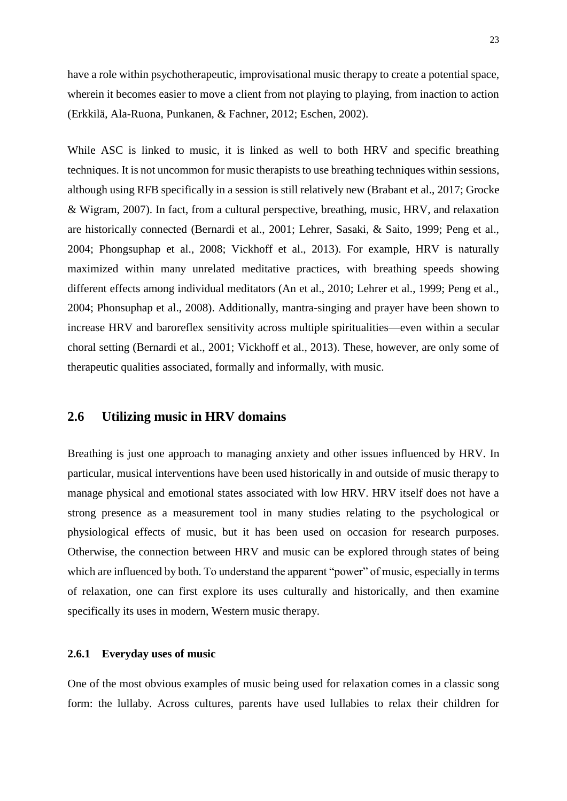have a role within psychotherapeutic, improvisational music therapy to create a potential space, wherein it becomes easier to move a client from not playing to playing, from inaction to action (Erkkilä, Ala-Ruona, Punkanen, & Fachner, 2012; Eschen, 2002).

While ASC is linked to music, it is linked as well to both HRV and specific breathing techniques. It is not uncommon for music therapists to use breathing techniques within sessions, although using RFB specifically in a session is still relatively new (Brabant et al., 2017; Grocke & Wigram, 2007). In fact, from a cultural perspective, breathing, music, HRV, and relaxation are historically connected (Bernardi et al., 2001; Lehrer, Sasaki, & Saito, 1999; Peng et al., 2004; Phongsuphap et al., 2008; Vickhoff et al., 2013). For example, HRV is naturally maximized within many unrelated meditative practices, with breathing speeds showing different effects among individual meditators (An et al., 2010; Lehrer et al., 1999; Peng et al., 2004; Phonsuphap et al., 2008). Additionally, mantra-singing and prayer have been shown to increase HRV and baroreflex sensitivity across multiple spiritualities—even within a secular choral setting (Bernardi et al., 2001; Vickhoff et al., 2013). These, however, are only some of therapeutic qualities associated, formally and informally, with music.

## **2.6 Utilizing music in HRV domains**

Breathing is just one approach to managing anxiety and other issues influenced by HRV. In particular, musical interventions have been used historically in and outside of music therapy to manage physical and emotional states associated with low HRV. HRV itself does not have a strong presence as a measurement tool in many studies relating to the psychological or physiological effects of music, but it has been used on occasion for research purposes. Otherwise, the connection between HRV and music can be explored through states of being which are influenced by both. To understand the apparent "power" of music, especially in terms of relaxation, one can first explore its uses culturally and historically, and then examine specifically its uses in modern, Western music therapy.

#### **2.6.1 Everyday uses of music**

One of the most obvious examples of music being used for relaxation comes in a classic song form: the lullaby. Across cultures, parents have used lullabies to relax their children for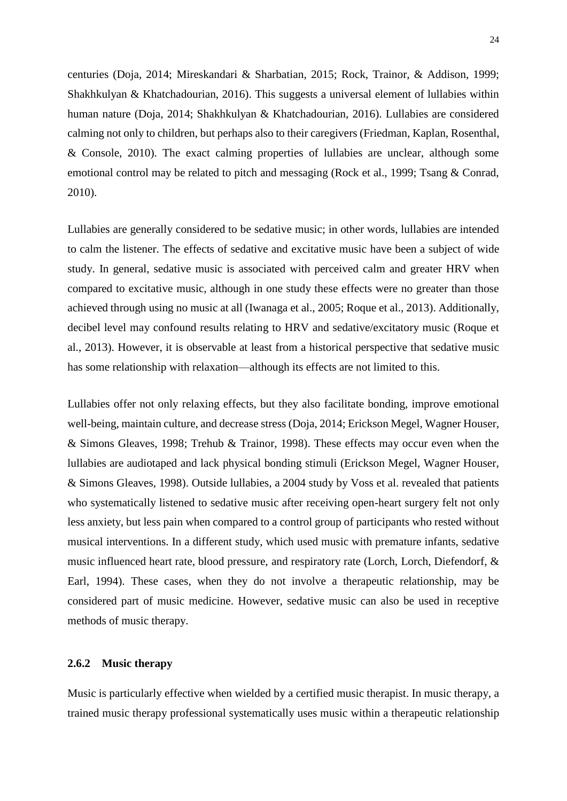centuries (Doja, 2014; Mireskandari & Sharbatian, 2015; Rock, Trainor, & Addison, 1999; Shakhkulyan & Khatchadourian, 2016). This suggests a universal element of lullabies within human nature (Doja, 2014; Shakhkulyan & Khatchadourian, 2016). Lullabies are considered calming not only to children, but perhaps also to their caregivers (Friedman, Kaplan, Rosenthal, & Console, 2010). The exact calming properties of lullabies are unclear, although some emotional control may be related to pitch and messaging (Rock et al., 1999; Tsang & Conrad, 2010).

Lullabies are generally considered to be sedative music; in other words, lullabies are intended to calm the listener. The effects of sedative and excitative music have been a subject of wide study. In general, sedative music is associated with perceived calm and greater HRV when compared to excitative music, although in one study these effects were no greater than those achieved through using no music at all (Iwanaga et al., 2005; Roque et al., 2013). Additionally, decibel level may confound results relating to HRV and sedative/excitatory music (Roque et al., 2013). However, it is observable at least from a historical perspective that sedative music has some relationship with relaxation—although its effects are not limited to this.

Lullabies offer not only relaxing effects, but they also facilitate bonding, improve emotional well-being, maintain culture, and decrease stress (Doja, 2014; Erickson Megel, Wagner Houser, & Simons Gleaves, 1998; Trehub & Trainor, 1998). These effects may occur even when the lullabies are audiotaped and lack physical bonding stimuli (Erickson Megel, Wagner Houser, & Simons Gleaves, 1998). Outside lullabies, a 2004 study by Voss et al. revealed that patients who systematically listened to sedative music after receiving open-heart surgery felt not only less anxiety, but less pain when compared to a control group of participants who rested without musical interventions. In a different study, which used music with premature infants, sedative music influenced heart rate, blood pressure, and respiratory rate (Lorch, Lorch, Diefendorf, & Earl, 1994). These cases, when they do not involve a therapeutic relationship, may be considered part of music medicine. However, sedative music can also be used in receptive methods of music therapy.

#### **2.6.2 Music therapy**

Music is particularly effective when wielded by a certified music therapist. In music therapy, a trained music therapy professional systematically uses music within a therapeutic relationship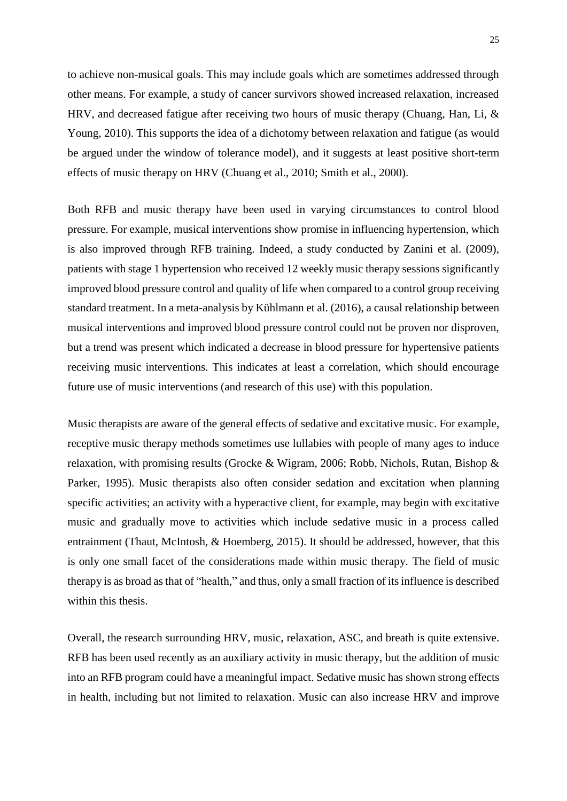to achieve non-musical goals. This may include goals which are sometimes addressed through other means. For example, a study of cancer survivors showed increased relaxation, increased HRV, and decreased fatigue after receiving two hours of music therapy (Chuang, Han, Li, & Young, 2010). This supports the idea of a dichotomy between relaxation and fatigue (as would be argued under the window of tolerance model), and it suggests at least positive short-term effects of music therapy on HRV (Chuang et al., 2010; Smith et al., 2000).

Both RFB and music therapy have been used in varying circumstances to control blood pressure. For example, musical interventions show promise in influencing hypertension, which is also improved through RFB training. Indeed, a study conducted by Zanini et al. (2009), patients with stage 1 hypertension who received 12 weekly music therapy sessions significantly improved blood pressure control and quality of life when compared to a control group receiving standard treatment. In a meta-analysis by Kühlmann et al. (2016), a causal relationship between musical interventions and improved blood pressure control could not be proven nor disproven, but a trend was present which indicated a decrease in blood pressure for hypertensive patients receiving music interventions. This indicates at least a correlation, which should encourage future use of music interventions (and research of this use) with this population.

Music therapists are aware of the general effects of sedative and excitative music. For example, receptive music therapy methods sometimes use lullabies with people of many ages to induce relaxation, with promising results (Grocke & Wigram, 2006; Robb, Nichols, Rutan, Bishop & Parker, 1995). Music therapists also often consider sedation and excitation when planning specific activities; an activity with a hyperactive client, for example, may begin with excitative music and gradually move to activities which include sedative music in a process called entrainment (Thaut, McIntosh, & Hoemberg, 2015). It should be addressed, however, that this is only one small facet of the considerations made within music therapy. The field of music therapy is as broad as that of "health," and thus, only a small fraction of its influence is described within this thesis.

Overall, the research surrounding HRV, music, relaxation, ASC, and breath is quite extensive. RFB has been used recently as an auxiliary activity in music therapy, but the addition of music into an RFB program could have a meaningful impact. Sedative music has shown strong effects in health, including but not limited to relaxation. Music can also increase HRV and improve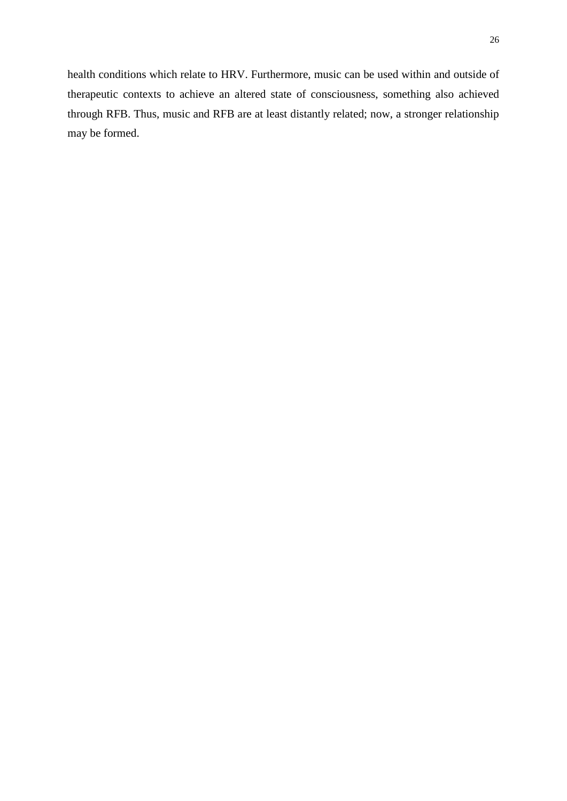health conditions which relate to HRV. Furthermore, music can be used within and outside of therapeutic contexts to achieve an altered state of consciousness, something also achieved through RFB. Thus, music and RFB are at least distantly related; now, a stronger relationship may be formed.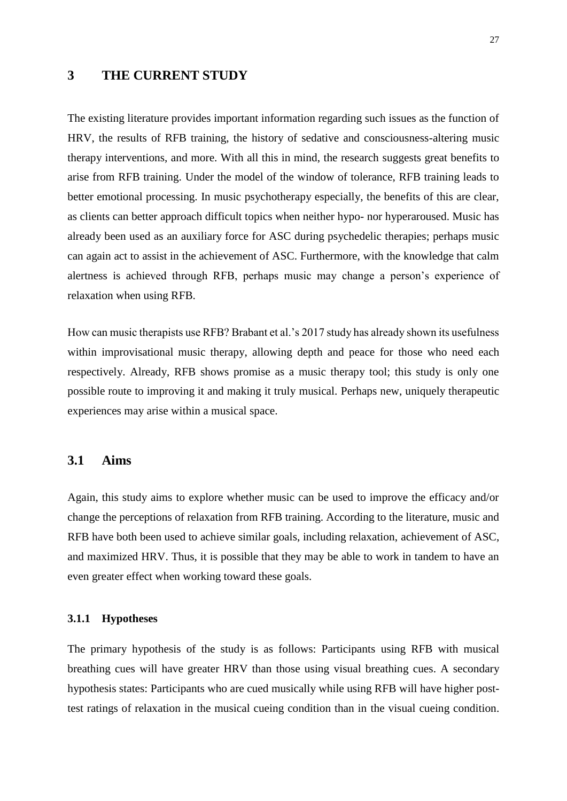## **3 THE CURRENT STUDY**

The existing literature provides important information regarding such issues as the function of HRV, the results of RFB training, the history of sedative and consciousness-altering music therapy interventions, and more. With all this in mind, the research suggests great benefits to arise from RFB training. Under the model of the window of tolerance, RFB training leads to better emotional processing. In music psychotherapy especially, the benefits of this are clear, as clients can better approach difficult topics when neither hypo- nor hyperaroused. Music has already been used as an auxiliary force for ASC during psychedelic therapies; perhaps music can again act to assist in the achievement of ASC. Furthermore, with the knowledge that calm alertness is achieved through RFB, perhaps music may change a person's experience of relaxation when using RFB.

How can music therapists use RFB? Brabant et al.'s 2017 study has already shown its usefulness within improvisational music therapy, allowing depth and peace for those who need each respectively. Already, RFB shows promise as a music therapy tool; this study is only one possible route to improving it and making it truly musical. Perhaps new, uniquely therapeutic experiences may arise within a musical space.

## **3.1 Aims**

Again, this study aims to explore whether music can be used to improve the efficacy and/or change the perceptions of relaxation from RFB training. According to the literature, music and RFB have both been used to achieve similar goals, including relaxation, achievement of ASC, and maximized HRV. Thus, it is possible that they may be able to work in tandem to have an even greater effect when working toward these goals.

#### **3.1.1 Hypotheses**

The primary hypothesis of the study is as follows: Participants using RFB with musical breathing cues will have greater HRV than those using visual breathing cues. A secondary hypothesis states: Participants who are cued musically while using RFB will have higher posttest ratings of relaxation in the musical cueing condition than in the visual cueing condition.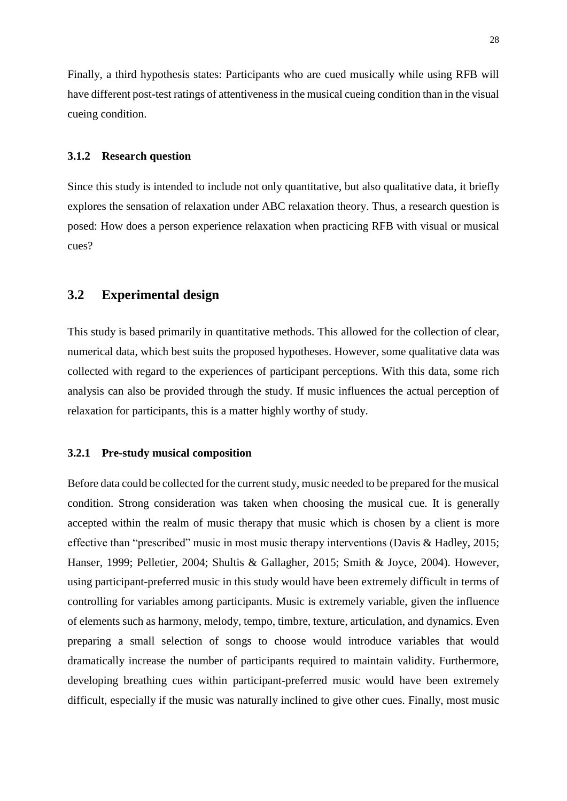Finally, a third hypothesis states: Participants who are cued musically while using RFB will have different post-test ratings of attentiveness in the musical cueing condition than in the visual cueing condition.

#### **3.1.2 Research question**

Since this study is intended to include not only quantitative, but also qualitative data, it briefly explores the sensation of relaxation under ABC relaxation theory. Thus, a research question is posed: How does a person experience relaxation when practicing RFB with visual or musical cues?

## **3.2 Experimental design**

This study is based primarily in quantitative methods. This allowed for the collection of clear, numerical data, which best suits the proposed hypotheses. However, some qualitative data was collected with regard to the experiences of participant perceptions. With this data, some rich analysis can also be provided through the study. If music influences the actual perception of relaxation for participants, this is a matter highly worthy of study.

#### **3.2.1 Pre-study musical composition**

Before data could be collected for the current study, music needed to be prepared for the musical condition. Strong consideration was taken when choosing the musical cue. It is generally accepted within the realm of music therapy that music which is chosen by a client is more effective than "prescribed" music in most music therapy interventions (Davis & Hadley, 2015; Hanser, 1999; Pelletier, 2004; Shultis & Gallagher, 2015; Smith & Joyce, 2004). However, using participant-preferred music in this study would have been extremely difficult in terms of controlling for variables among participants. Music is extremely variable, given the influence of elements such as harmony, melody, tempo, timbre, texture, articulation, and dynamics. Even preparing a small selection of songs to choose would introduce variables that would dramatically increase the number of participants required to maintain validity. Furthermore, developing breathing cues within participant-preferred music would have been extremely difficult, especially if the music was naturally inclined to give other cues. Finally, most music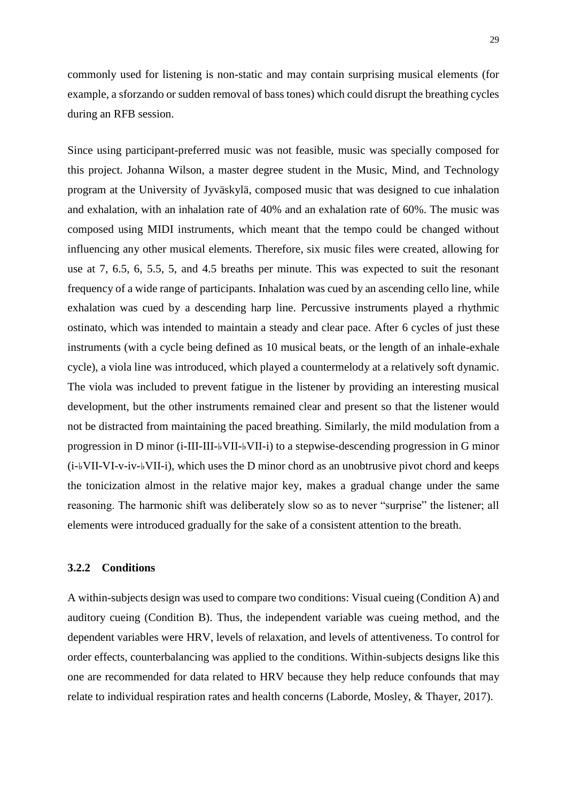commonly used for listening is non-static and may contain surprising musical elements (for example, a sforzando or sudden removal of bass tones) which could disrupt the breathing cycles during an RFB session.

Since using participant-preferred music was not feasible, music was specially composed for this project. Johanna Wilson, a master degree student in the Music, Mind, and Technology program at the University of Jyväskylä, composed music that was designed to cue inhalation and exhalation, with an inhalation rate of 40% and an exhalation rate of 60%. The music was composed using MIDI instruments, which meant that the tempo could be changed without influencing any other musical elements. Therefore, six music files were created, allowing for use at 7, 6.5, 6, 5.5, 5, and 4.5 breaths per minute. This was expected to suit the resonant frequency of a wide range of participants. Inhalation was cued by an ascending cello line, while exhalation was cued by a descending harp line. Percussive instruments played a rhythmic ostinato, which was intended to maintain a steady and clear pace. After 6 cycles of just these instruments (with a cycle being defined as 10 musical beats, or the length of an inhale-exhale cycle), a viola line was introduced, which played a countermelody at a relatively soft dynamic. The viola was included to prevent fatigue in the listener by providing an interesting musical development, but the other instruments remained clear and present so that the listener would not be distracted from maintaining the paced breathing. Similarly, the mild modulation from a progression in D minor (i-III-III-♭VII-♭VII-i) to a stepwise-descending progression in G minor (i-♭VII-VI-v-iv-♭VII-i), which uses the D minor chord as an unobtrusive pivot chord and keeps the tonicization almost in the relative major key, makes a gradual change under the same reasoning. The harmonic shift was deliberately slow so as to never "surprise" the listener; all elements were introduced gradually for the sake of a consistent attention to the breath.

## **3.2.2 Conditions**

A within-subjects design was used to compare two conditions: Visual cueing (Condition A) and auditory cueing (Condition B). Thus, the independent variable was cueing method, and the dependent variables were HRV, levels of relaxation, and levels of attentiveness. To control for order effects, counterbalancing was applied to the conditions. Within-subjects designs like this one are recommended for data related to HRV because they help reduce confounds that may relate to individual respiration rates and health concerns (Laborde, Mosley, & Thayer, 2017).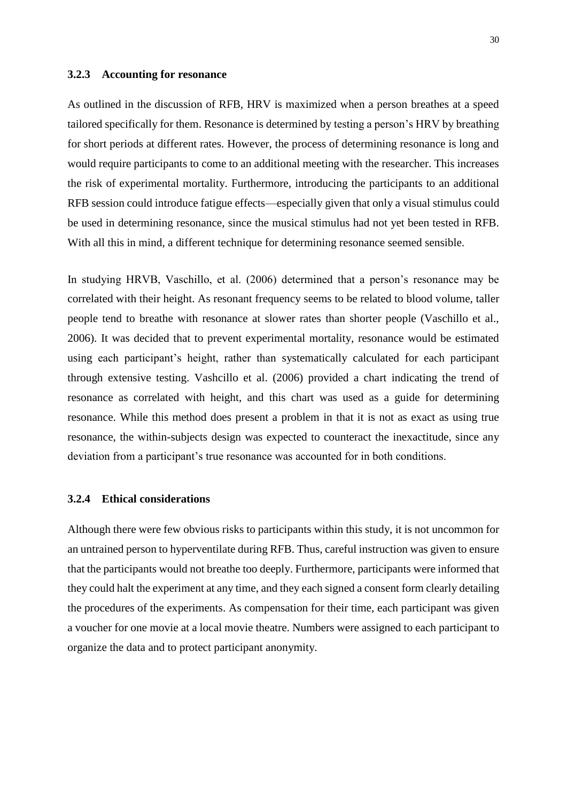#### **3.2.3 Accounting for resonance**

As outlined in the discussion of RFB, HRV is maximized when a person breathes at a speed tailored specifically for them. Resonance is determined by testing a person's HRV by breathing for short periods at different rates. However, the process of determining resonance is long and would require participants to come to an additional meeting with the researcher. This increases the risk of experimental mortality. Furthermore, introducing the participants to an additional RFB session could introduce fatigue effects—especially given that only a visual stimulus could be used in determining resonance, since the musical stimulus had not yet been tested in RFB. With all this in mind, a different technique for determining resonance seemed sensible.

In studying HRVB, Vaschillo, et al. (2006) determined that a person's resonance may be correlated with their height. As resonant frequency seems to be related to blood volume, taller people tend to breathe with resonance at slower rates than shorter people (Vaschillo et al., 2006). It was decided that to prevent experimental mortality, resonance would be estimated using each participant's height, rather than systematically calculated for each participant through extensive testing. Vashcillo et al. (2006) provided a chart indicating the trend of resonance as correlated with height, and this chart was used as a guide for determining resonance. While this method does present a problem in that it is not as exact as using true resonance, the within-subjects design was expected to counteract the inexactitude, since any deviation from a participant's true resonance was accounted for in both conditions.

#### **3.2.4 Ethical considerations**

Although there were few obvious risks to participants within this study, it is not uncommon for an untrained person to hyperventilate during RFB. Thus, careful instruction was given to ensure that the participants would not breathe too deeply. Furthermore, participants were informed that they could halt the experiment at any time, and they each signed a consent form clearly detailing the procedures of the experiments. As compensation for their time, each participant was given a voucher for one movie at a local movie theatre. Numbers were assigned to each participant to organize the data and to protect participant anonymity.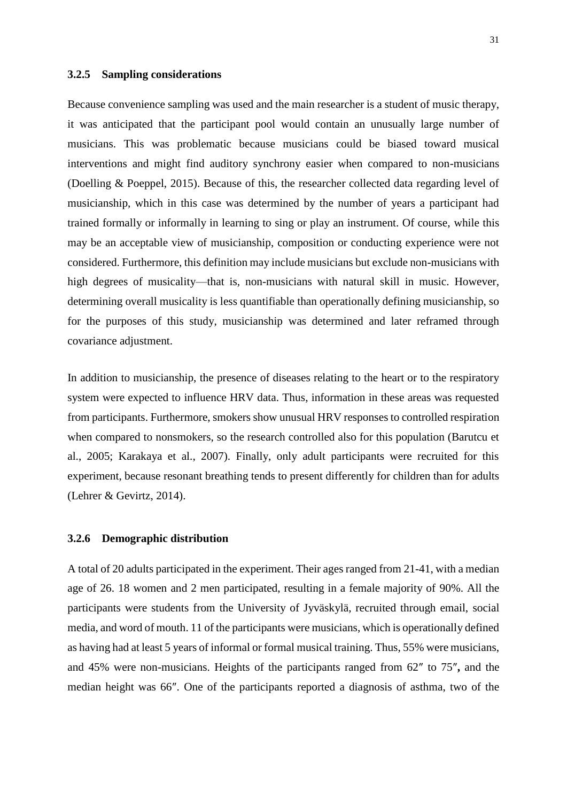#### **3.2.5 Sampling considerations**

Because convenience sampling was used and the main researcher is a student of music therapy, it was anticipated that the participant pool would contain an unusually large number of musicians. This was problematic because musicians could be biased toward musical interventions and might find auditory synchrony easier when compared to non-musicians (Doelling & Poeppel, 2015). Because of this, the researcher collected data regarding level of musicianship, which in this case was determined by the number of years a participant had trained formally or informally in learning to sing or play an instrument. Of course, while this may be an acceptable view of musicianship, composition or conducting experience were not considered. Furthermore, this definition may include musicians but exclude non-musicians with high degrees of musicality—that is, non-musicians with natural skill in music. However, determining overall musicality is less quantifiable than operationally defining musicianship, so for the purposes of this study, musicianship was determined and later reframed through covariance adjustment.

In addition to musicianship, the presence of diseases relating to the heart or to the respiratory system were expected to influence HRV data. Thus, information in these areas was requested from participants. Furthermore, smokers show unusual HRV responses to controlled respiration when compared to nonsmokers, so the research controlled also for this population (Barutcu et al., 2005; Karakaya et al., 2007). Finally, only adult participants were recruited for this experiment, because resonant breathing tends to present differently for children than for adults (Lehrer & Gevirtz, 2014).

#### **3.2.6 Demographic distribution**

A total of 20 adults participated in the experiment. Their ages ranged from 21-41, with a median age of 26. 18 women and 2 men participated, resulting in a female majority of 90%. All the participants were students from the University of Jyväskylä, recruited through email, social media, and word of mouth. 11 of the participants were musicians, which is operationally defined as having had at least 5 years of informal or formal musical training. Thus, 55% were musicians, and 45% were non-musicians. Heights of the participants ranged from 62″ to 75″**,** and the median height was 66″. One of the participants reported a diagnosis of asthma, two of the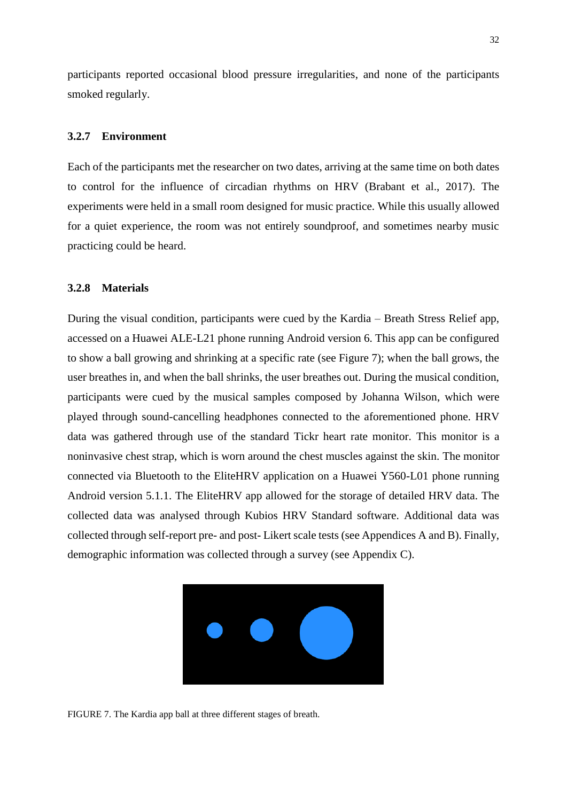participants reported occasional blood pressure irregularities, and none of the participants smoked regularly.

#### **3.2.7 Environment**

Each of the participants met the researcher on two dates, arriving at the same time on both dates to control for the influence of circadian rhythms on HRV (Brabant et al., 2017). The experiments were held in a small room designed for music practice. While this usually allowed for a quiet experience, the room was not entirely soundproof, and sometimes nearby music practicing could be heard.

#### **3.2.8 Materials**

During the visual condition, participants were cued by the Kardia – Breath Stress Relief app, accessed on a Huawei ALE-L21 phone running Android version 6. This app can be configured to show a ball growing and shrinking at a specific rate (see Figure 7); when the ball grows, the user breathes in, and when the ball shrinks, the user breathes out. During the musical condition, participants were cued by the musical samples composed by Johanna Wilson, which were played through sound-cancelling headphones connected to the aforementioned phone. HRV data was gathered through use of the standard Tickr heart rate monitor. This monitor is a noninvasive chest strap, which is worn around the chest muscles against the skin. The monitor connected via Bluetooth to the EliteHRV application on a Huawei Y560-L01 phone running Android version 5.1.1. The EliteHRV app allowed for the storage of detailed HRV data. The collected data was analysed through Kubios HRV Standard software. Additional data was collected through self-report pre- and post- Likert scale tests (see Appendices A and B). Finally, demographic information was collected through a survey (see Appendix C).



FIGURE 7. The Kardia app ball at three different stages of breath.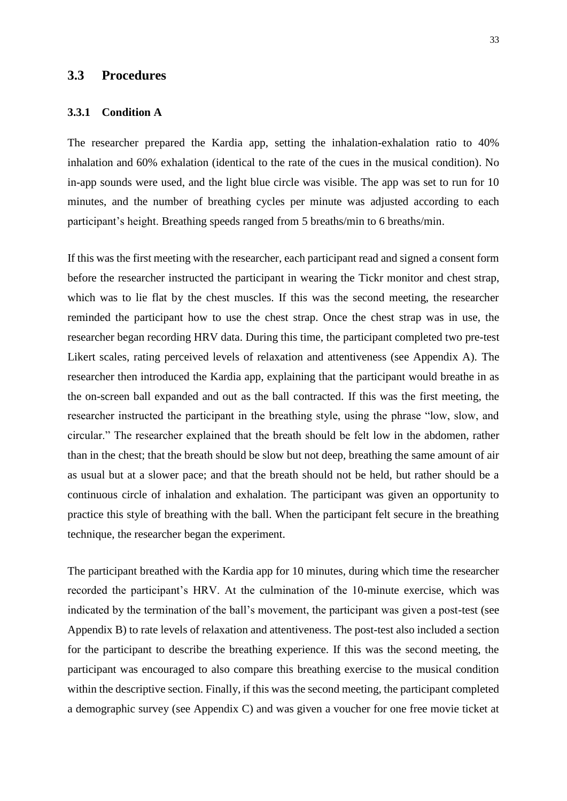## **3.3 Procedures**

#### **3.3.1 Condition A**

The researcher prepared the Kardia app, setting the inhalation-exhalation ratio to 40% inhalation and 60% exhalation (identical to the rate of the cues in the musical condition). No in-app sounds were used, and the light blue circle was visible. The app was set to run for 10 minutes, and the number of breathing cycles per minute was adjusted according to each participant's height. Breathing speeds ranged from 5 breaths/min to 6 breaths/min.

If this was the first meeting with the researcher, each participant read and signed a consent form before the researcher instructed the participant in wearing the Tickr monitor and chest strap, which was to lie flat by the chest muscles. If this was the second meeting, the researcher reminded the participant how to use the chest strap. Once the chest strap was in use, the researcher began recording HRV data. During this time, the participant completed two pre-test Likert scales, rating perceived levels of relaxation and attentiveness (see Appendix A). The researcher then introduced the Kardia app, explaining that the participant would breathe in as the on-screen ball expanded and out as the ball contracted. If this was the first meeting, the researcher instructed the participant in the breathing style, using the phrase "low, slow, and circular." The researcher explained that the breath should be felt low in the abdomen, rather than in the chest; that the breath should be slow but not deep, breathing the same amount of air as usual but at a slower pace; and that the breath should not be held, but rather should be a continuous circle of inhalation and exhalation. The participant was given an opportunity to practice this style of breathing with the ball. When the participant felt secure in the breathing technique, the researcher began the experiment.

The participant breathed with the Kardia app for 10 minutes, during which time the researcher recorded the participant's HRV. At the culmination of the 10-minute exercise, which was indicated by the termination of the ball's movement, the participant was given a post-test (see Appendix B) to rate levels of relaxation and attentiveness. The post-test also included a section for the participant to describe the breathing experience. If this was the second meeting, the participant was encouraged to also compare this breathing exercise to the musical condition within the descriptive section. Finally, if this was the second meeting, the participant completed a demographic survey (see Appendix C) and was given a voucher for one free movie ticket at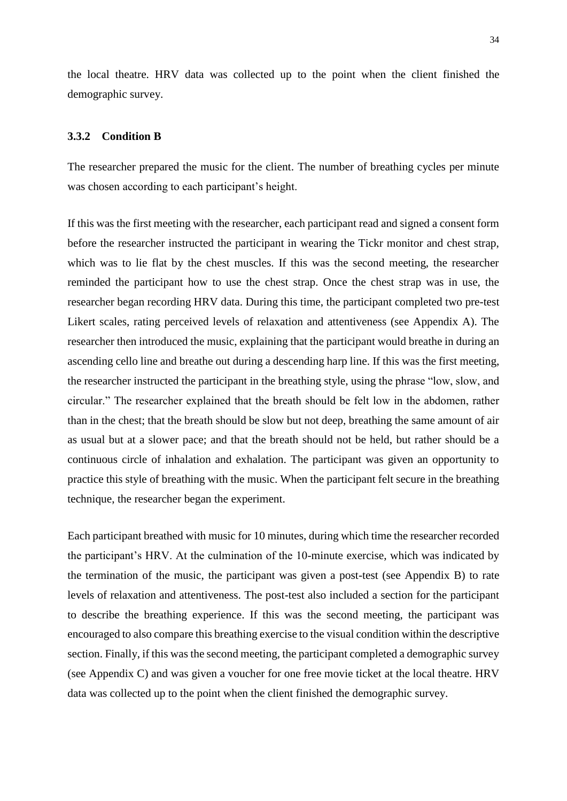the local theatre. HRV data was collected up to the point when the client finished the demographic survey.

#### **3.3.2 Condition B**

The researcher prepared the music for the client. The number of breathing cycles per minute was chosen according to each participant's height.

If this was the first meeting with the researcher, each participant read and signed a consent form before the researcher instructed the participant in wearing the Tickr monitor and chest strap, which was to lie flat by the chest muscles. If this was the second meeting, the researcher reminded the participant how to use the chest strap. Once the chest strap was in use, the researcher began recording HRV data. During this time, the participant completed two pre-test Likert scales, rating perceived levels of relaxation and attentiveness (see Appendix A). The researcher then introduced the music, explaining that the participant would breathe in during an ascending cello line and breathe out during a descending harp line. If this was the first meeting, the researcher instructed the participant in the breathing style, using the phrase "low, slow, and circular." The researcher explained that the breath should be felt low in the abdomen, rather than in the chest; that the breath should be slow but not deep, breathing the same amount of air as usual but at a slower pace; and that the breath should not be held, but rather should be a continuous circle of inhalation and exhalation. The participant was given an opportunity to practice this style of breathing with the music. When the participant felt secure in the breathing technique, the researcher began the experiment.

Each participant breathed with music for 10 minutes, during which time the researcher recorded the participant's HRV. At the culmination of the 10-minute exercise, which was indicated by the termination of the music, the participant was given a post-test (see Appendix B) to rate levels of relaxation and attentiveness. The post-test also included a section for the participant to describe the breathing experience. If this was the second meeting, the participant was encouraged to also compare this breathing exercise to the visual condition within the descriptive section. Finally, if this was the second meeting, the participant completed a demographic survey (see Appendix C) and was given a voucher for one free movie ticket at the local theatre. HRV data was collected up to the point when the client finished the demographic survey.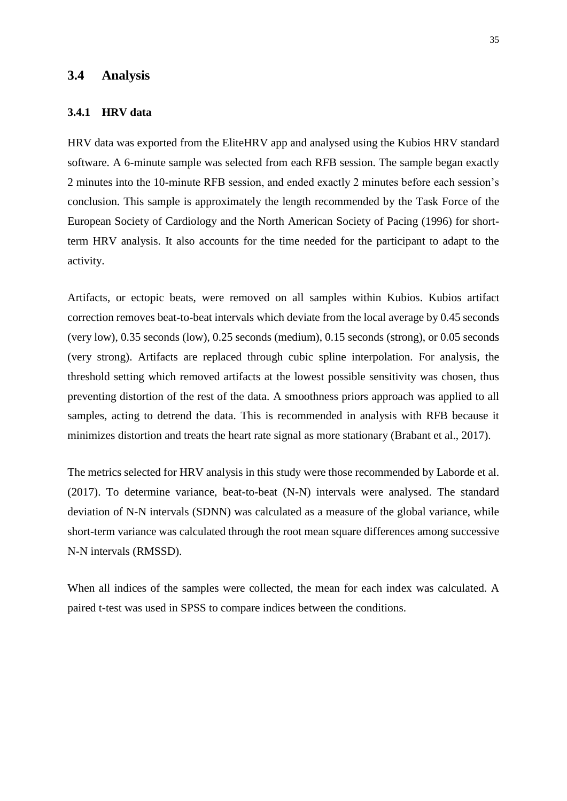#### **3.4 Analysis**

#### **3.4.1 HRV data**

HRV data was exported from the EliteHRV app and analysed using the Kubios HRV standard software. A 6-minute sample was selected from each RFB session. The sample began exactly 2 minutes into the 10-minute RFB session, and ended exactly 2 minutes before each session's conclusion. This sample is approximately the length recommended by the Task Force of the European Society of Cardiology and the North American Society of Pacing (1996) for shortterm HRV analysis. It also accounts for the time needed for the participant to adapt to the activity.

Artifacts, or ectopic beats, were removed on all samples within Kubios. Kubios artifact correction removes beat-to-beat intervals which deviate from the local average by 0.45 seconds (very low), 0.35 seconds (low), 0.25 seconds (medium), 0.15 seconds (strong), or 0.05 seconds (very strong). Artifacts are replaced through cubic spline interpolation. For analysis, the threshold setting which removed artifacts at the lowest possible sensitivity was chosen, thus preventing distortion of the rest of the data. A smoothness priors approach was applied to all samples, acting to detrend the data. This is recommended in analysis with RFB because it minimizes distortion and treats the heart rate signal as more stationary (Brabant et al., 2017).

The metrics selected for HRV analysis in this study were those recommended by Laborde et al. (2017). To determine variance, beat-to-beat (N-N) intervals were analysed. The standard deviation of N-N intervals (SDNN) was calculated as a measure of the global variance, while short-term variance was calculated through the root mean square differences among successive N-N intervals (RMSSD).

When all indices of the samples were collected, the mean for each index was calculated. A paired t-test was used in SPSS to compare indices between the conditions.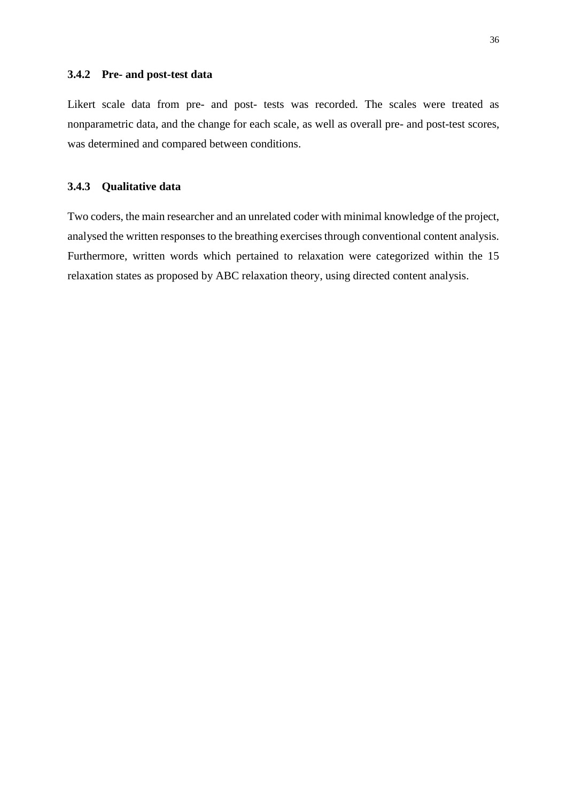#### **3.4.2 Pre- and post-test data**

Likert scale data from pre- and post- tests was recorded. The scales were treated as nonparametric data, and the change for each scale, as well as overall pre- and post-test scores, was determined and compared between conditions.

## **3.4.3 Qualitative data**

Two coders, the main researcher and an unrelated coder with minimal knowledge of the project, analysed the written responses to the breathing exercises through conventional content analysis. Furthermore, written words which pertained to relaxation were categorized within the 15 relaxation states as proposed by ABC relaxation theory, using directed content analysis.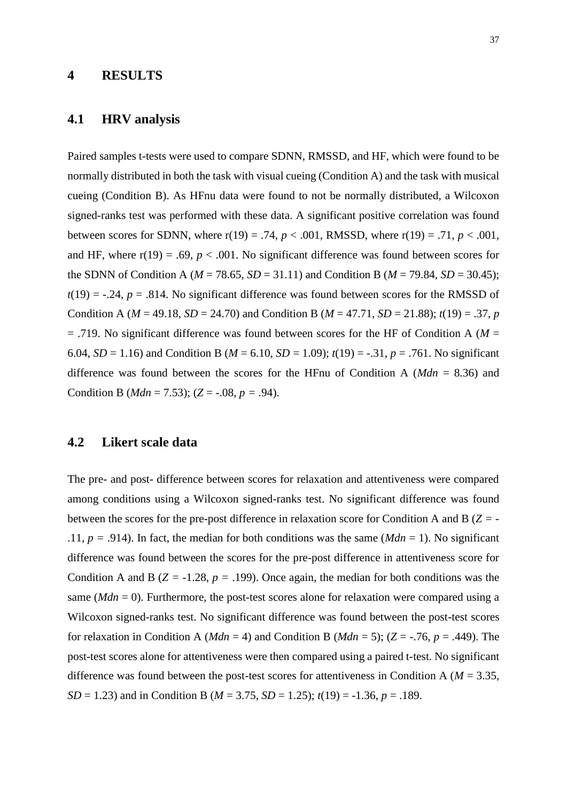## **4 RESULTS**

## **4.1 HRV analysis**

Paired samples t-tests were used to compare SDNN, RMSSD, and HF, which were found to be normally distributed in both the task with visual cueing (Condition A) and the task with musical cueing (Condition B). As HFnu data were found to not be normally distributed, a Wilcoxon signed-ranks test was performed with these data. A significant positive correlation was found between scores for SDNN, where  $r(19) = .74$ ,  $p < .001$ , RMSSD, where  $r(19) = .71$ ,  $p < .001$ , and HF, where  $r(19) = .69$ ,  $p < .001$ . No significant difference was found between scores for the SDNN of Condition A ( $M = 78.65$ ,  $SD = 31.11$ ) and Condition B ( $M = 79.84$ ,  $SD = 30.45$ );  $t(19) = -0.24$ ,  $p = 0.814$ . No significant difference was found between scores for the RMSSD of Condition A ( $M = 49.18$ ,  $SD = 24.70$ ) and Condition B ( $M = 47.71$ ,  $SD = 21.88$ );  $t(19) = .37$ , *p* = .719. No significant difference was found between scores for the HF of Condition A (*M* = 6.04, *SD* = 1.16) and Condition B ( $M = 6.10$ , *SD* = 1.09);  $t(19) = -.31$ ,  $p = .761$ . No significant difference was found between the scores for the HFnu of Condition A (*Mdn* = 8.36) and Condition B ( $Mdn = 7.53$ ); ( $Z = -.08$ ,  $p = .94$ ).

## **4.2 Likert scale data**

The pre- and post- difference between scores for relaxation and attentiveness were compared among conditions using a Wilcoxon signed-ranks test. No significant difference was found between the scores for the pre-post difference in relaxation score for Condition A and B (*Z =* - .11,  $p = .914$ ). In fact, the median for both conditions was the same ( $Mdn = 1$ ). No significant difference was found between the scores for the pre-post difference in attentiveness score for Condition A and B ( $Z = -1.28$ ,  $p = .199$ ). Once again, the median for both conditions was the same (*Mdn* = 0). Furthermore, the post-test scores alone for relaxation were compared using a Wilcoxon signed-ranks test. No significant difference was found between the post-test scores for relaxation in Condition A (*Mdn* = 4) and Condition B (*Mdn* = 5); ( $Z = -0.76$ ,  $p = .449$ ). The post-test scores alone for attentiveness were then compared using a paired t-test. No significant difference was found between the post-test scores for attentiveness in Condition A (*M* = 3.35, *SD* = 1.23) and in Condition B (*M* = 3.75, *SD* = 1.25); *t*(19) = -1.36, *p* = .189.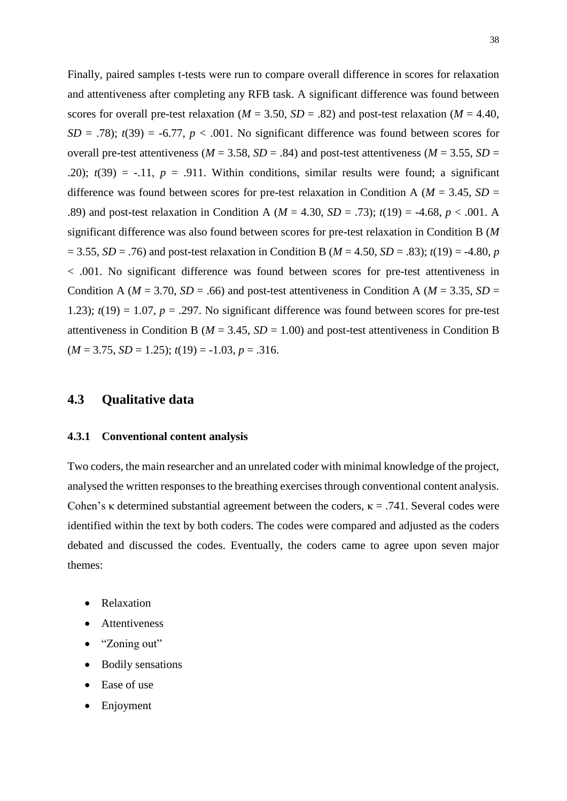Finally, paired samples t-tests were run to compare overall difference in scores for relaxation and attentiveness after completing any RFB task. A significant difference was found between scores for overall pre-test relaxation ( $M = 3.50$ ,  $SD = .82$ ) and post-test relaxation ( $M = 4.40$ ,  $SD = .78$ ;  $t(39) = -6.77$ ,  $p < .001$ . No significant difference was found between scores for overall pre-test attentiveness ( $M = 3.58$ ,  $SD = .84$ ) and post-test attentiveness ( $M = 3.55$ ,  $SD =$ .20);  $t(39) = -0.11$ ,  $p = 0.911$ . Within conditions, similar results were found; a significant difference was found between scores for pre-test relaxation in Condition A ( $M = 3.45$ ,  $SD =$ .89) and post-test relaxation in Condition A (*M* = 4.30, *SD* = .73); *t*(19) = -4.68, *p* < .001. A significant difference was also found between scores for pre-test relaxation in Condition B (*M*   $= 3.55$ , *SD* = .76) and post-test relaxation in Condition B (*M* = 4.50, *SD* = .83); *t*(19) = -4.80, *p* < .001. No significant difference was found between scores for pre-test attentiveness in Condition A ( $M = 3.70$ ,  $SD = .66$ ) and post-test attentiveness in Condition A ( $M = 3.35$ ,  $SD =$ 1.23);  $t(19) = 1.07$ ,  $p = .297$ . No significant difference was found between scores for pre-test attentiveness in Condition B ( $M = 3.45$ ,  $SD = 1.00$ ) and post-test attentiveness in Condition B  $(M = 3.75, SD = 1.25); t(19) = -1.03, p = .316.$ 

## **4.3 Qualitative data**

#### **4.3.1 Conventional content analysis**

Two coders, the main researcher and an unrelated coder with minimal knowledge of the project, analysed the written responses to the breathing exercises through conventional content analysis. Cohen's κ determined substantial agreement between the coders,  $κ = .741$ . Several codes were identified within the text by both coders. The codes were compared and adjusted as the coders debated and discussed the codes. Eventually, the coders came to agree upon seven major themes:

- Relaxation
- Attentiveness
- "Zoning out"
- Bodily sensations
- Ease of use
- **Enjoyment**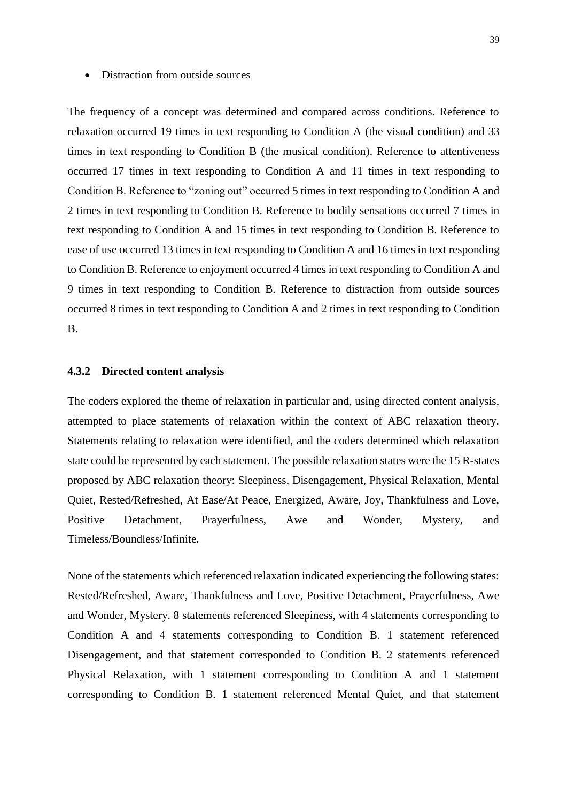#### • Distraction from outside sources

The frequency of a concept was determined and compared across conditions. Reference to relaxation occurred 19 times in text responding to Condition A (the visual condition) and 33 times in text responding to Condition B (the musical condition). Reference to attentiveness occurred 17 times in text responding to Condition A and 11 times in text responding to Condition B. Reference to "zoning out" occurred 5 times in text responding to Condition A and 2 times in text responding to Condition B. Reference to bodily sensations occurred 7 times in text responding to Condition A and 15 times in text responding to Condition B. Reference to ease of use occurred 13 times in text responding to Condition A and 16 times in text responding to Condition B. Reference to enjoyment occurred 4 times in text responding to Condition A and 9 times in text responding to Condition B. Reference to distraction from outside sources occurred 8 times in text responding to Condition A and 2 times in text responding to Condition B.

#### **4.3.2 Directed content analysis**

The coders explored the theme of relaxation in particular and, using directed content analysis, attempted to place statements of relaxation within the context of ABC relaxation theory. Statements relating to relaxation were identified, and the coders determined which relaxation state could be represented by each statement. The possible relaxation states were the 15 R-states proposed by ABC relaxation theory: Sleepiness, Disengagement, Physical Relaxation, Mental Quiet, Rested/Refreshed, At Ease/At Peace, Energized, Aware, Joy, Thankfulness and Love, Positive Detachment, Prayerfulness, Awe and Wonder, Mystery, and Timeless/Boundless/Infinite.

None of the statements which referenced relaxation indicated experiencing the following states: Rested/Refreshed, Aware, Thankfulness and Love, Positive Detachment, Prayerfulness, Awe and Wonder, Mystery. 8 statements referenced Sleepiness, with 4 statements corresponding to Condition A and 4 statements corresponding to Condition B. 1 statement referenced Disengagement, and that statement corresponded to Condition B. 2 statements referenced Physical Relaxation, with 1 statement corresponding to Condition A and 1 statement corresponding to Condition B. 1 statement referenced Mental Quiet, and that statement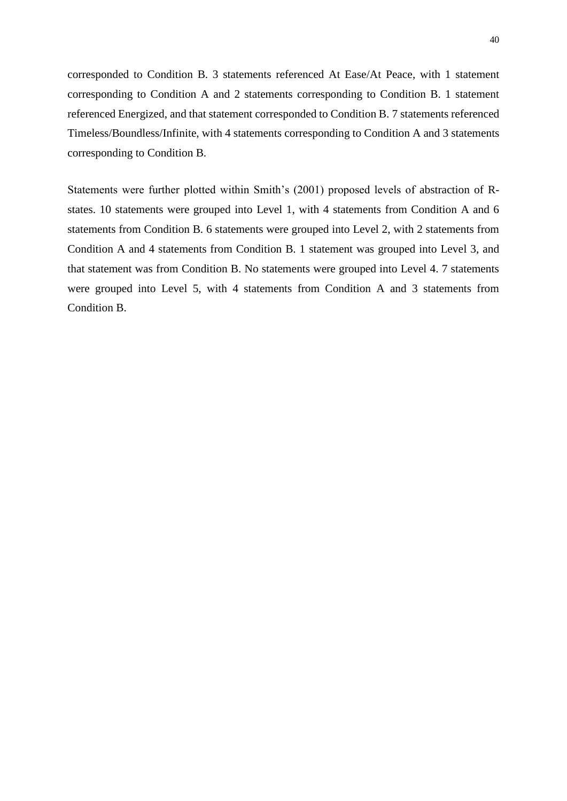corresponded to Condition B. 3 statements referenced At Ease/At Peace, with 1 statement corresponding to Condition A and 2 statements corresponding to Condition B. 1 statement referenced Energized, and that statement corresponded to Condition B. 7 statements referenced Timeless/Boundless/Infinite, with 4 statements corresponding to Condition A and 3 statements corresponding to Condition B.

Statements were further plotted within Smith's (2001) proposed levels of abstraction of Rstates. 10 statements were grouped into Level 1, with 4 statements from Condition A and 6 statements from Condition B. 6 statements were grouped into Level 2, with 2 statements from Condition A and 4 statements from Condition B. 1 statement was grouped into Level 3, and that statement was from Condition B. No statements were grouped into Level 4. 7 statements were grouped into Level 5, with 4 statements from Condition A and 3 statements from Condition B.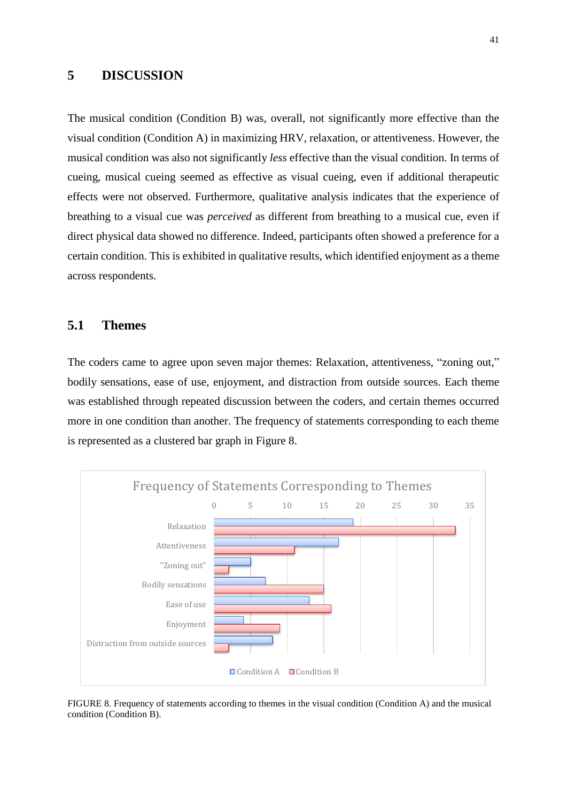## **5 DISCUSSION**

The musical condition (Condition B) was, overall, not significantly more effective than the visual condition (Condition A) in maximizing HRV, relaxation, or attentiveness. However, the musical condition was also not significantly *less* effective than the visual condition. In terms of cueing, musical cueing seemed as effective as visual cueing, even if additional therapeutic effects were not observed. Furthermore, qualitative analysis indicates that the experience of breathing to a visual cue was *perceived* as different from breathing to a musical cue, even if direct physical data showed no difference. Indeed, participants often showed a preference for a certain condition. This is exhibited in qualitative results, which identified enjoyment as a theme across respondents.

## **5.1 Themes**

The coders came to agree upon seven major themes: Relaxation, attentiveness, "zoning out," bodily sensations, ease of use, enjoyment, and distraction from outside sources. Each theme was established through repeated discussion between the coders, and certain themes occurred more in one condition than another. The frequency of statements corresponding to each theme is represented as a clustered bar graph in Figure 8.



FIGURE 8. Frequency of statements according to themes in the visual condition (Condition A) and the musical condition (Condition B).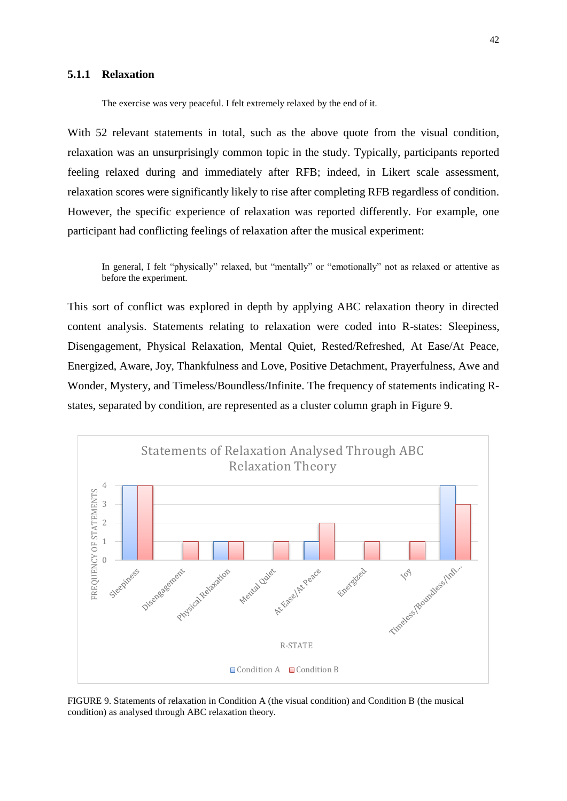#### **5.1.1 Relaxation**

The exercise was very peaceful. I felt extremely relaxed by the end of it.

With 52 relevant statements in total, such as the above quote from the visual condition, relaxation was an unsurprisingly common topic in the study. Typically, participants reported feeling relaxed during and immediately after RFB; indeed, in Likert scale assessment, relaxation scores were significantly likely to rise after completing RFB regardless of condition. However, the specific experience of relaxation was reported differently. For example, one participant had conflicting feelings of relaxation after the musical experiment:

In general, I felt "physically" relaxed, but "mentally" or "emotionally" not as relaxed or attentive as before the experiment.

This sort of conflict was explored in depth by applying ABC relaxation theory in directed content analysis. Statements relating to relaxation were coded into R-states: Sleepiness, Disengagement, Physical Relaxation, Mental Quiet, Rested/Refreshed, At Ease/At Peace, Energized, Aware, Joy, Thankfulness and Love, Positive Detachment, Prayerfulness, Awe and Wonder, Mystery, and Timeless/Boundless/Infinite. The frequency of statements indicating Rstates, separated by condition, are represented as a cluster column graph in Figure 9.



FIGURE 9. Statements of relaxation in Condition A (the visual condition) and Condition B (the musical condition) as analysed through ABC relaxation theory.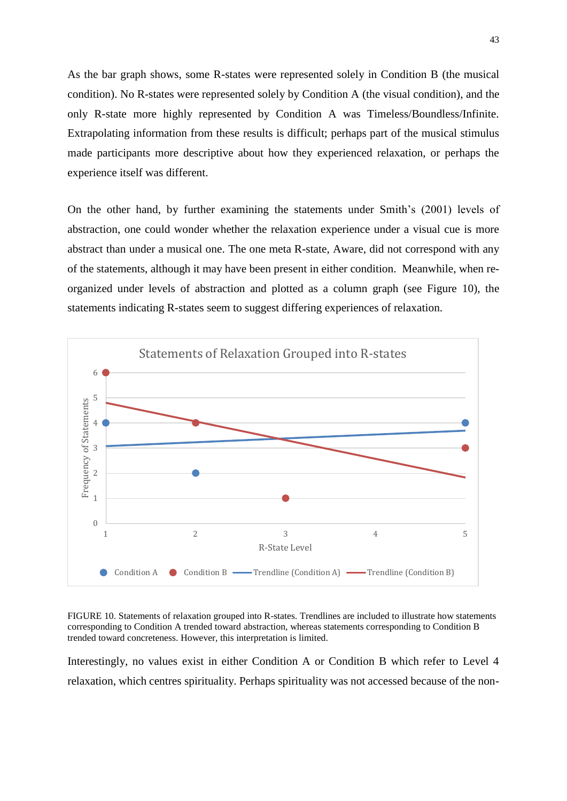As the bar graph shows, some R-states were represented solely in Condition B (the musical condition). No R-states were represented solely by Condition A (the visual condition), and the only R-state more highly represented by Condition A was Timeless/Boundless/Infinite. Extrapolating information from these results is difficult; perhaps part of the musical stimulus made participants more descriptive about how they experienced relaxation, or perhaps the experience itself was different.

On the other hand, by further examining the statements under Smith's (2001) levels of abstraction, one could wonder whether the relaxation experience under a visual cue is more abstract than under a musical one. The one meta R-state, Aware, did not correspond with any of the statements, although it may have been present in either condition. Meanwhile, when reorganized under levels of abstraction and plotted as a column graph (see Figure 10), the statements indicating R-states seem to suggest differing experiences of relaxation.





Interestingly, no values exist in either Condition A or Condition B which refer to Level 4 relaxation, which centres spirituality. Perhaps spirituality was not accessed because of the non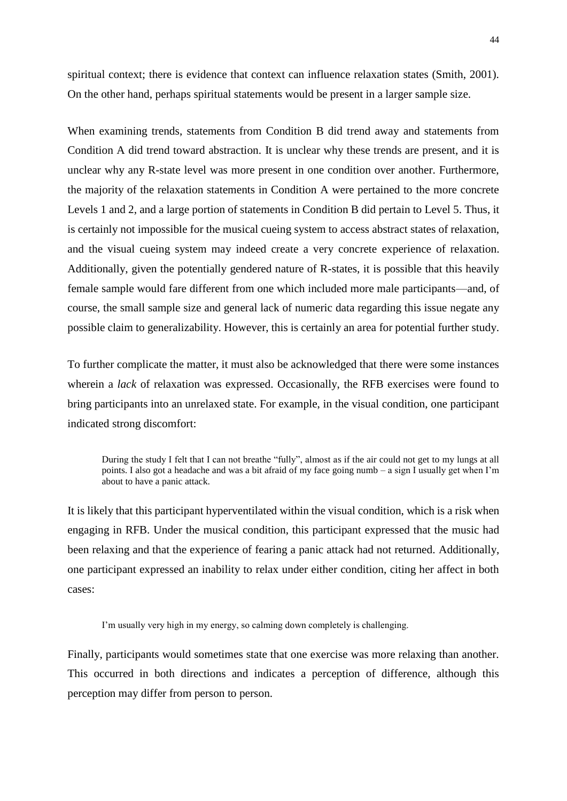spiritual context; there is evidence that context can influence relaxation states (Smith, 2001). On the other hand, perhaps spiritual statements would be present in a larger sample size.

When examining trends, statements from Condition B did trend away and statements from Condition A did trend toward abstraction. It is unclear why these trends are present, and it is unclear why any R-state level was more present in one condition over another. Furthermore, the majority of the relaxation statements in Condition A were pertained to the more concrete Levels 1 and 2, and a large portion of statements in Condition B did pertain to Level 5. Thus, it is certainly not impossible for the musical cueing system to access abstract states of relaxation, and the visual cueing system may indeed create a very concrete experience of relaxation. Additionally, given the potentially gendered nature of R-states, it is possible that this heavily female sample would fare different from one which included more male participants—and, of course, the small sample size and general lack of numeric data regarding this issue negate any possible claim to generalizability. However, this is certainly an area for potential further study.

To further complicate the matter, it must also be acknowledged that there were some instances wherein a *lack* of relaxation was expressed. Occasionally, the RFB exercises were found to bring participants into an unrelaxed state. For example, in the visual condition, one participant indicated strong discomfort:

During the study I felt that I can not breathe "fully", almost as if the air could not get to my lungs at all points. I also got a headache and was a bit afraid of my face going numb – a sign I usually get when I'm about to have a panic attack.

It is likely that this participant hyperventilated within the visual condition, which is a risk when engaging in RFB. Under the musical condition, this participant expressed that the music had been relaxing and that the experience of fearing a panic attack had not returned. Additionally, one participant expressed an inability to relax under either condition, citing her affect in both cases:

I'm usually very high in my energy, so calming down completely is challenging.

Finally, participants would sometimes state that one exercise was more relaxing than another. This occurred in both directions and indicates a perception of difference, although this perception may differ from person to person.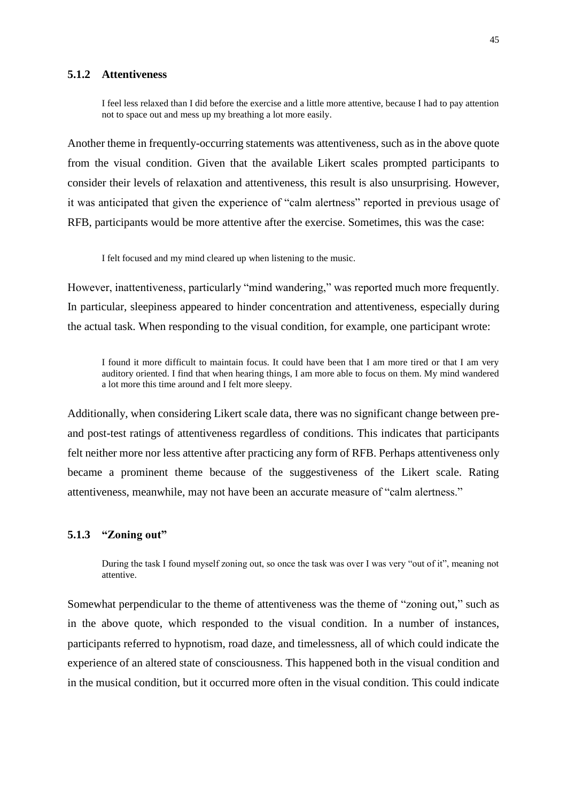#### **5.1.2 Attentiveness**

I feel less relaxed than I did before the exercise and a little more attentive, because I had to pay attention not to space out and mess up my breathing a lot more easily.

Another theme in frequently-occurring statements was attentiveness, such as in the above quote from the visual condition. Given that the available Likert scales prompted participants to consider their levels of relaxation and attentiveness, this result is also unsurprising. However, it was anticipated that given the experience of "calm alertness" reported in previous usage of RFB, participants would be more attentive after the exercise. Sometimes, this was the case:

I felt focused and my mind cleared up when listening to the music.

However, inattentiveness, particularly "mind wandering," was reported much more frequently. In particular, sleepiness appeared to hinder concentration and attentiveness, especially during the actual task. When responding to the visual condition, for example, one participant wrote:

I found it more difficult to maintain focus. It could have been that I am more tired or that I am very auditory oriented. I find that when hearing things, I am more able to focus on them. My mind wandered a lot more this time around and I felt more sleepy.

Additionally, when considering Likert scale data, there was no significant change between preand post-test ratings of attentiveness regardless of conditions. This indicates that participants felt neither more nor less attentive after practicing any form of RFB. Perhaps attentiveness only became a prominent theme because of the suggestiveness of the Likert scale. Rating attentiveness, meanwhile, may not have been an accurate measure of "calm alertness."

#### **5.1.3 "Zoning out"**

During the task I found myself zoning out, so once the task was over I was very "out of it", meaning not attentive.

Somewhat perpendicular to the theme of attentiveness was the theme of "zoning out," such as in the above quote, which responded to the visual condition. In a number of instances, participants referred to hypnotism, road daze, and timelessness, all of which could indicate the experience of an altered state of consciousness. This happened both in the visual condition and in the musical condition, but it occurred more often in the visual condition. This could indicate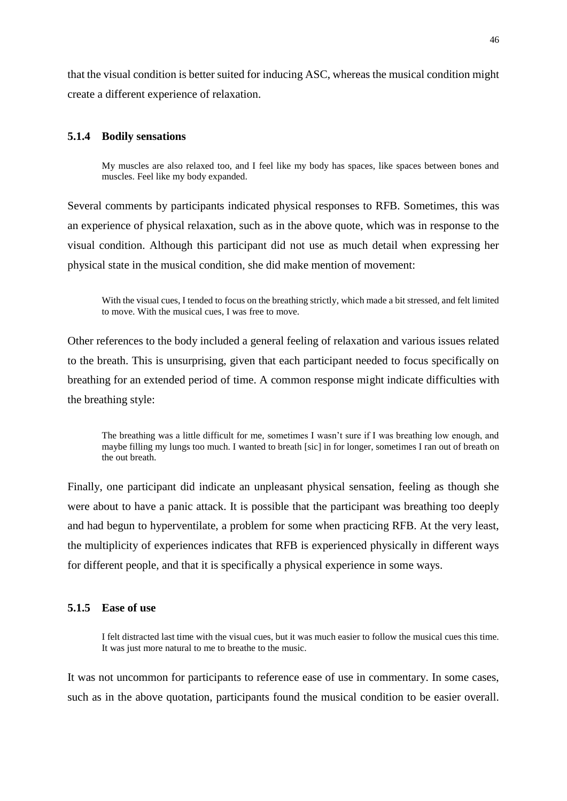that the visual condition is better suited for inducing ASC, whereas the musical condition might create a different experience of relaxation.

#### **5.1.4 Bodily sensations**

My muscles are also relaxed too, and I feel like my body has spaces, like spaces between bones and muscles. Feel like my body expanded.

Several comments by participants indicated physical responses to RFB. Sometimes, this was an experience of physical relaxation, such as in the above quote, which was in response to the visual condition. Although this participant did not use as much detail when expressing her physical state in the musical condition, she did make mention of movement:

With the visual cues, I tended to focus on the breathing strictly, which made a bit stressed, and felt limited to move. With the musical cues, I was free to move.

Other references to the body included a general feeling of relaxation and various issues related to the breath. This is unsurprising, given that each participant needed to focus specifically on breathing for an extended period of time. A common response might indicate difficulties with the breathing style:

The breathing was a little difficult for me, sometimes I wasn't sure if I was breathing low enough, and maybe filling my lungs too much. I wanted to breath [sic] in for longer, sometimes I ran out of breath on the out breath.

Finally, one participant did indicate an unpleasant physical sensation, feeling as though she were about to have a panic attack. It is possible that the participant was breathing too deeply and had begun to hyperventilate, a problem for some when practicing RFB. At the very least, the multiplicity of experiences indicates that RFB is experienced physically in different ways for different people, and that it is specifically a physical experience in some ways.

#### **5.1.5 Ease of use**

I felt distracted last time with the visual cues, but it was much easier to follow the musical cues this time. It was just more natural to me to breathe to the music.

It was not uncommon for participants to reference ease of use in commentary. In some cases, such as in the above quotation, participants found the musical condition to be easier overall.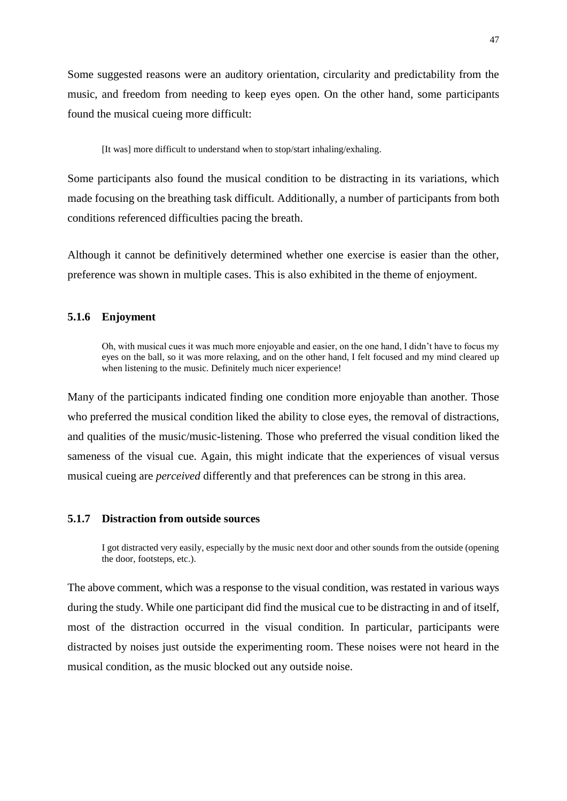Some suggested reasons were an auditory orientation, circularity and predictability from the music, and freedom from needing to keep eyes open. On the other hand, some participants found the musical cueing more difficult:

[It was] more difficult to understand when to stop/start inhaling/exhaling.

Some participants also found the musical condition to be distracting in its variations, which made focusing on the breathing task difficult. Additionally, a number of participants from both conditions referenced difficulties pacing the breath.

Although it cannot be definitively determined whether one exercise is easier than the other, preference was shown in multiple cases. This is also exhibited in the theme of enjoyment.

#### **5.1.6 Enjoyment**

Oh, with musical cues it was much more enjoyable and easier, on the one hand, I didn't have to focus my eyes on the ball, so it was more relaxing, and on the other hand, I felt focused and my mind cleared up when listening to the music. Definitely much nicer experience!

Many of the participants indicated finding one condition more enjoyable than another. Those who preferred the musical condition liked the ability to close eyes, the removal of distractions, and qualities of the music/music-listening. Those who preferred the visual condition liked the sameness of the visual cue. Again, this might indicate that the experiences of visual versus musical cueing are *perceived* differently and that preferences can be strong in this area.

#### **5.1.7 Distraction from outside sources**

I got distracted very easily, especially by the music next door and other sounds from the outside (opening the door, footsteps, etc.).

The above comment, which was a response to the visual condition, was restated in various ways during the study. While one participant did find the musical cue to be distracting in and of itself, most of the distraction occurred in the visual condition. In particular, participants were distracted by noises just outside the experimenting room. These noises were not heard in the musical condition, as the music blocked out any outside noise.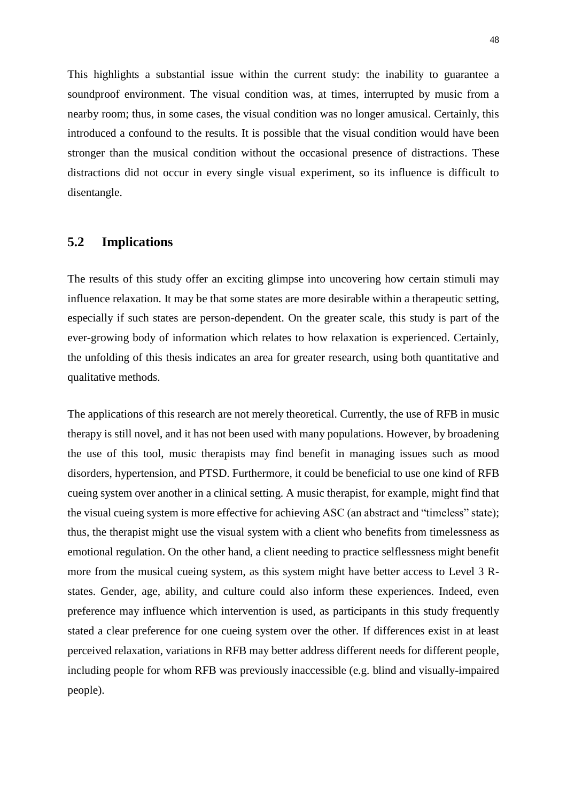This highlights a substantial issue within the current study: the inability to guarantee a soundproof environment. The visual condition was, at times, interrupted by music from a nearby room; thus, in some cases, the visual condition was no longer amusical. Certainly, this introduced a confound to the results. It is possible that the visual condition would have been stronger than the musical condition without the occasional presence of distractions. These distractions did not occur in every single visual experiment, so its influence is difficult to disentangle.

## **5.2 Implications**

The results of this study offer an exciting glimpse into uncovering how certain stimuli may influence relaxation. It may be that some states are more desirable within a therapeutic setting, especially if such states are person-dependent. On the greater scale, this study is part of the ever-growing body of information which relates to how relaxation is experienced. Certainly, the unfolding of this thesis indicates an area for greater research, using both quantitative and qualitative methods.

The applications of this research are not merely theoretical. Currently, the use of RFB in music therapy is still novel, and it has not been used with many populations. However, by broadening the use of this tool, music therapists may find benefit in managing issues such as mood disorders, hypertension, and PTSD. Furthermore, it could be beneficial to use one kind of RFB cueing system over another in a clinical setting. A music therapist, for example, might find that the visual cueing system is more effective for achieving ASC (an abstract and "timeless" state); thus, the therapist might use the visual system with a client who benefits from timelessness as emotional regulation. On the other hand, a client needing to practice selflessness might benefit more from the musical cueing system, as this system might have better access to Level 3 Rstates. Gender, age, ability, and culture could also inform these experiences. Indeed, even preference may influence which intervention is used, as participants in this study frequently stated a clear preference for one cueing system over the other. If differences exist in at least perceived relaxation, variations in RFB may better address different needs for different people, including people for whom RFB was previously inaccessible (e.g. blind and visually-impaired people).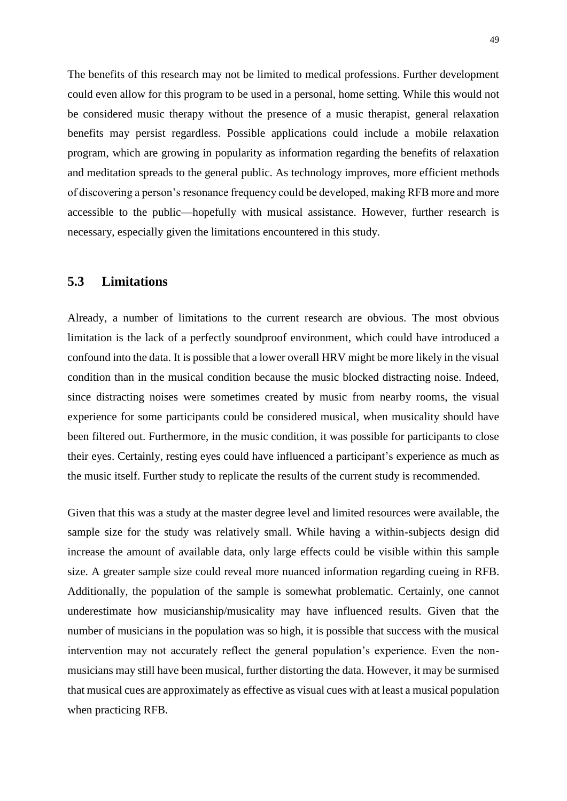The benefits of this research may not be limited to medical professions. Further development could even allow for this program to be used in a personal, home setting. While this would not be considered music therapy without the presence of a music therapist, general relaxation benefits may persist regardless. Possible applications could include a mobile relaxation program, which are growing in popularity as information regarding the benefits of relaxation and meditation spreads to the general public. As technology improves, more efficient methods of discovering a person's resonance frequency could be developed, making RFB more and more accessible to the public—hopefully with musical assistance. However, further research is necessary, especially given the limitations encountered in this study.

## **5.3 Limitations**

Already, a number of limitations to the current research are obvious. The most obvious limitation is the lack of a perfectly soundproof environment, which could have introduced a confound into the data. It is possible that a lower overall HRV might be more likely in the visual condition than in the musical condition because the music blocked distracting noise. Indeed, since distracting noises were sometimes created by music from nearby rooms, the visual experience for some participants could be considered musical, when musicality should have been filtered out. Furthermore, in the music condition, it was possible for participants to close their eyes. Certainly, resting eyes could have influenced a participant's experience as much as the music itself. Further study to replicate the results of the current study is recommended.

Given that this was a study at the master degree level and limited resources were available, the sample size for the study was relatively small. While having a within-subjects design did increase the amount of available data, only large effects could be visible within this sample size. A greater sample size could reveal more nuanced information regarding cueing in RFB. Additionally, the population of the sample is somewhat problematic. Certainly, one cannot underestimate how musicianship/musicality may have influenced results. Given that the number of musicians in the population was so high, it is possible that success with the musical intervention may not accurately reflect the general population's experience. Even the nonmusicians may still have been musical, further distorting the data. However, it may be surmised that musical cues are approximately as effective as visual cues with at least a musical population when practicing RFB.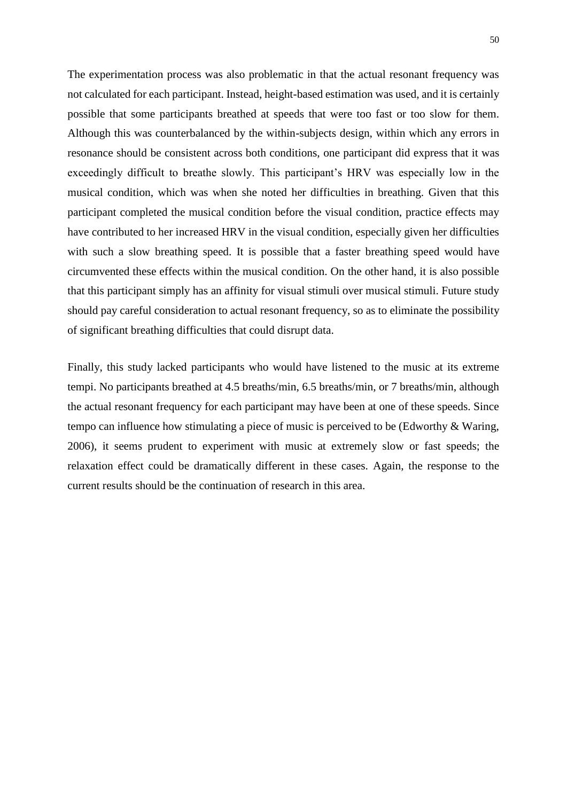The experimentation process was also problematic in that the actual resonant frequency was not calculated for each participant. Instead, height-based estimation was used, and it is certainly possible that some participants breathed at speeds that were too fast or too slow for them. Although this was counterbalanced by the within-subjects design, within which any errors in resonance should be consistent across both conditions, one participant did express that it was exceedingly difficult to breathe slowly. This participant's HRV was especially low in the musical condition, which was when she noted her difficulties in breathing. Given that this participant completed the musical condition before the visual condition, practice effects may have contributed to her increased HRV in the visual condition, especially given her difficulties with such a slow breathing speed. It is possible that a faster breathing speed would have circumvented these effects within the musical condition. On the other hand, it is also possible that this participant simply has an affinity for visual stimuli over musical stimuli. Future study should pay careful consideration to actual resonant frequency, so as to eliminate the possibility of significant breathing difficulties that could disrupt data.

Finally, this study lacked participants who would have listened to the music at its extreme tempi. No participants breathed at 4.5 breaths/min, 6.5 breaths/min, or 7 breaths/min, although the actual resonant frequency for each participant may have been at one of these speeds. Since tempo can influence how stimulating a piece of music is perceived to be (Edworthy & Waring, 2006), it seems prudent to experiment with music at extremely slow or fast speeds; the relaxation effect could be dramatically different in these cases. Again, the response to the current results should be the continuation of research in this area.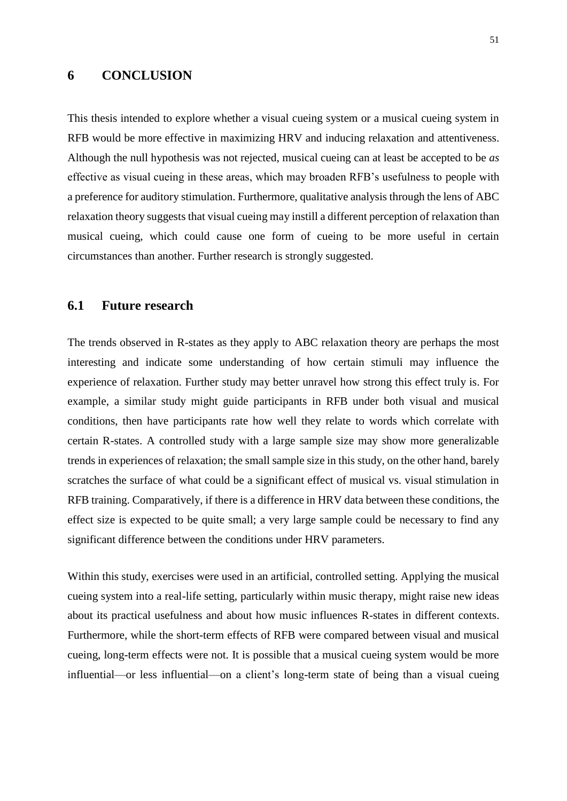## **6 CONCLUSION**

This thesis intended to explore whether a visual cueing system or a musical cueing system in RFB would be more effective in maximizing HRV and inducing relaxation and attentiveness. Although the null hypothesis was not rejected, musical cueing can at least be accepted to be *as*  effective as visual cueing in these areas, which may broaden RFB's usefulness to people with a preference for auditory stimulation. Furthermore, qualitative analysis through the lens of ABC relaxation theory suggests that visual cueing may instill a different perception of relaxation than musical cueing, which could cause one form of cueing to be more useful in certain circumstances than another. Further research is strongly suggested.

## **6.1 Future research**

The trends observed in R-states as they apply to ABC relaxation theory are perhaps the most interesting and indicate some understanding of how certain stimuli may influence the experience of relaxation. Further study may better unravel how strong this effect truly is. For example, a similar study might guide participants in RFB under both visual and musical conditions, then have participants rate how well they relate to words which correlate with certain R-states. A controlled study with a large sample size may show more generalizable trends in experiences of relaxation; the small sample size in this study, on the other hand, barely scratches the surface of what could be a significant effect of musical vs. visual stimulation in RFB training. Comparatively, if there is a difference in HRV data between these conditions, the effect size is expected to be quite small; a very large sample could be necessary to find any significant difference between the conditions under HRV parameters.

Within this study, exercises were used in an artificial, controlled setting. Applying the musical cueing system into a real-life setting, particularly within music therapy, might raise new ideas about its practical usefulness and about how music influences R-states in different contexts. Furthermore, while the short-term effects of RFB were compared between visual and musical cueing, long-term effects were not. It is possible that a musical cueing system would be more influential—or less influential—on a client's long-term state of being than a visual cueing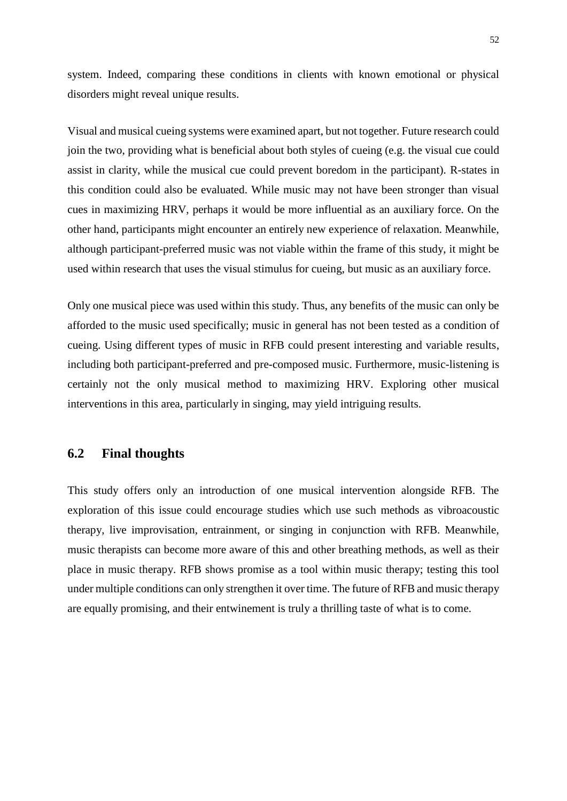system. Indeed, comparing these conditions in clients with known emotional or physical disorders might reveal unique results.

Visual and musical cueing systems were examined apart, but not together. Future research could join the two, providing what is beneficial about both styles of cueing (e.g. the visual cue could assist in clarity, while the musical cue could prevent boredom in the participant). R-states in this condition could also be evaluated. While music may not have been stronger than visual cues in maximizing HRV, perhaps it would be more influential as an auxiliary force. On the other hand, participants might encounter an entirely new experience of relaxation. Meanwhile, although participant-preferred music was not viable within the frame of this study, it might be used within research that uses the visual stimulus for cueing, but music as an auxiliary force.

Only one musical piece was used within this study. Thus, any benefits of the music can only be afforded to the music used specifically; music in general has not been tested as a condition of cueing. Using different types of music in RFB could present interesting and variable results, including both participant-preferred and pre-composed music. Furthermore, music-listening is certainly not the only musical method to maximizing HRV. Exploring other musical interventions in this area, particularly in singing, may yield intriguing results.

## **6.2 Final thoughts**

This study offers only an introduction of one musical intervention alongside RFB. The exploration of this issue could encourage studies which use such methods as vibroacoustic therapy, live improvisation, entrainment, or singing in conjunction with RFB. Meanwhile, music therapists can become more aware of this and other breathing methods, as well as their place in music therapy. RFB shows promise as a tool within music therapy; testing this tool under multiple conditions can only strengthen it over time. The future of RFB and music therapy are equally promising, and their entwinement is truly a thrilling taste of what is to come.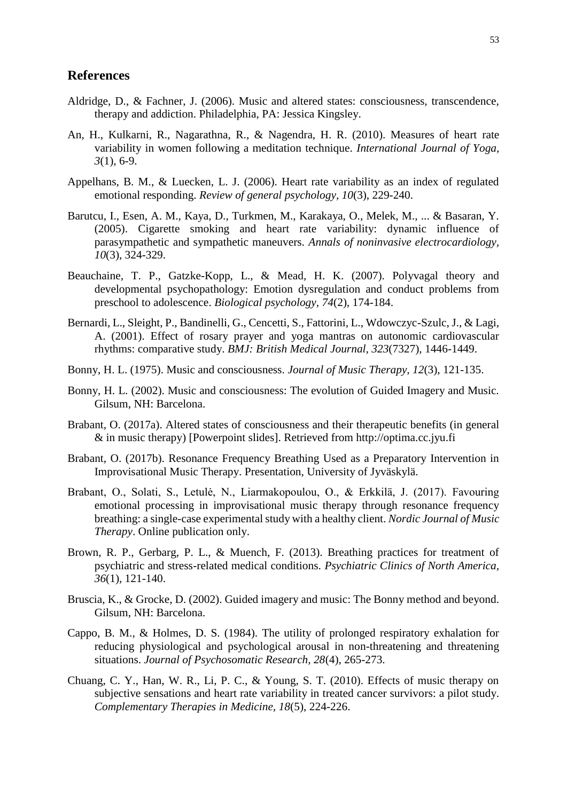## **References**

- Aldridge, D., & Fachner, J. (2006). Music and altered states: consciousness, transcendence, therapy and addiction. Philadelphia, PA: Jessica Kingsley.
- An, H., Kulkarni, R., Nagarathna, R., & Nagendra, H. R. (2010). Measures of heart rate variability in women following a meditation technique. *International Journal of Yoga, 3*(1), 6-9.
- Appelhans, B. M., & Luecken, L. J. (2006). Heart rate variability as an index of regulated emotional responding. *Review of general psychology, 10*(3), 229-240.
- Barutcu, I., Esen, A. M., Kaya, D., Turkmen, M., Karakaya, O., Melek, M., ... & Basaran, Y. (2005). Cigarette smoking and heart rate variability: dynamic influence of parasympathetic and sympathetic maneuvers. *Annals of noninvasive electrocardiology, 10*(3), 324-329.
- Beauchaine, T. P., Gatzke-Kopp, L., & Mead, H. K. (2007). Polyvagal theory and developmental psychopathology: Emotion dysregulation and conduct problems from preschool to adolescence. *Biological psychology, 74*(2), 174-184.
- Bernardi, L., Sleight, P., Bandinelli, G., Cencetti, S., Fattorini, L., Wdowczyc-Szulc, J., & Lagi, A. (2001). Effect of rosary prayer and yoga mantras on autonomic cardiovascular rhythms: comparative study. *BMJ: British Medical Journal, 323*(7327), 1446-1449.
- Bonny, H. L. (1975). Music and consciousness. *Journal of Music Therapy, 12*(3), 121-135.
- Bonny, H. L. (2002). Music and consciousness: The evolution of Guided Imagery and Music. Gilsum, NH: Barcelona.
- Brabant, O. (2017a). Altered states of consciousness and their therapeutic benefits (in general & in music therapy) [Powerpoint slides]. Retrieved from http://optima.cc.jyu.fi
- Brabant, O. (2017b). Resonance Frequency Breathing Used as a Preparatory Intervention in Improvisational Music Therapy. Presentation, University of Jyväskylä.
- Brabant, O., Solati, S., Letulė, N., Liarmakopoulou, O., & Erkkilä, J. (2017). Favouring emotional processing in improvisational music therapy through resonance frequency breathing: a single-case experimental study with a healthy client. *Nordic Journal of Music Therapy*. Online publication only.
- Brown, R. P., Gerbarg, P. L., & Muench, F. (2013). Breathing practices for treatment of psychiatric and stress-related medical conditions. *Psychiatric Clinics of North America, 36*(1), 121-140.
- Bruscia, K., & Grocke, D. (2002). Guided imagery and music: The Bonny method and beyond. Gilsum, NH: Barcelona.
- Cappo, B. M., & Holmes, D. S. (1984). The utility of prolonged respiratory exhalation for reducing physiological and psychological arousal in non-threatening and threatening situations. *Journal of Psychosomatic Research, 28*(4), 265-273.
- Chuang, C. Y., Han, W. R., Li, P. C., & Young, S. T. (2010). Effects of music therapy on subjective sensations and heart rate variability in treated cancer survivors: a pilot study. *Complementary Therapies in Medicine, 18*(5), 224-226.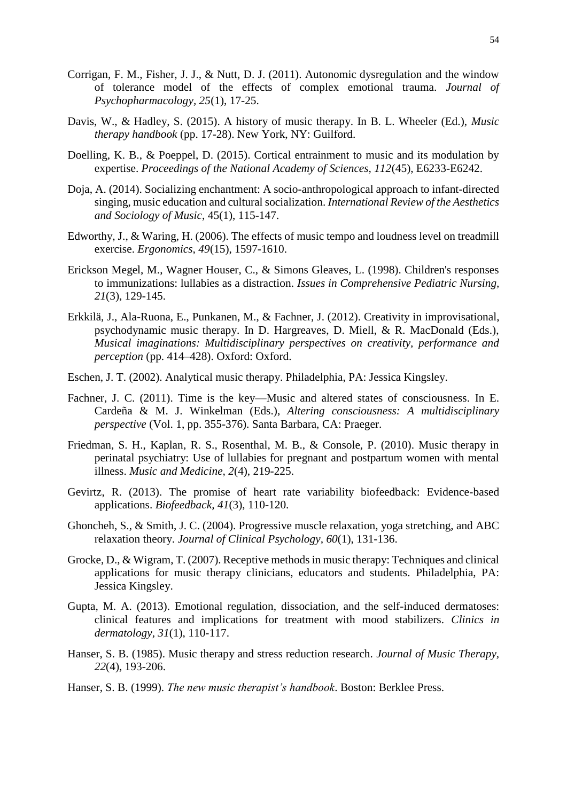- Corrigan, F. M., Fisher, J. J., & Nutt, D. J. (2011). Autonomic dysregulation and the window of tolerance model of the effects of complex emotional trauma. *Journal of Psychopharmacology, 25*(1), 17-25.
- Davis, W., & Hadley, S. (2015). A history of music therapy. In B. L. Wheeler (Ed.), *Music therapy handbook* (pp. 17-28). New York, NY: Guilford.
- Doelling, K. B., & Poeppel, D. (2015). Cortical entrainment to music and its modulation by expertise. *Proceedings of the National Academy of Sciences, 112*(45), E6233-E6242.
- Doja, A. (2014). Socializing enchantment: A socio-anthropological approach to infant-directed singing, music education and cultural socialization. *International Review of the Aesthetics and Sociology of Music*, 45(1), 115-147.
- Edworthy, J., & Waring, H. (2006). The effects of music tempo and loudness level on treadmill exercise. *Ergonomics, 49*(15), 1597-1610.
- Erickson Megel, M., Wagner Houser, C., & Simons Gleaves, L. (1998). Children's responses to immunizations: lullabies as a distraction. *Issues in Comprehensive Pediatric Nursing, 21*(3), 129-145.
- Erkkilä, J., Ala-Ruona, E., Punkanen, M., & Fachner, J. (2012). Creativity in improvisational, psychodynamic music therapy. In D. Hargreaves, D. Miell, & R. MacDonald (Eds.), *Musical imaginations: Multidisciplinary perspectives on creativity, performance and perception* (pp. 414–428). Oxford: Oxford.
- Eschen, J. T. (2002). Analytical music therapy. Philadelphia, PA: Jessica Kingsley.
- Fachner, J. C. (2011). Time is the key—Music and altered states of consciousness. In E. Cardeña & M. J. Winkelman (Eds.), *Altering consciousness: A multidisciplinary perspective* (Vol. 1, pp. 355-376). Santa Barbara, CA: Praeger.
- Friedman, S. H., Kaplan, R. S., Rosenthal, M. B., & Console, P. (2010). Music therapy in perinatal psychiatry: Use of lullabies for pregnant and postpartum women with mental illness. *Music and Medicine, 2*(4), 219-225.
- Gevirtz, R. (2013). The promise of heart rate variability biofeedback: Evidence-based applications. *Biofeedback, 41*(3), 110-120.
- Ghoncheh, S., & Smith, J. C. (2004). Progressive muscle relaxation, yoga stretching, and ABC relaxation theory. *Journal of Clinical Psychology, 60*(1), 131-136.
- Grocke, D., & Wigram, T. (2007). Receptive methods in music therapy: Techniques and clinical applications for music therapy clinicians, educators and students. Philadelphia, PA: Jessica Kingsley.
- Gupta, M. A. (2013). Emotional regulation, dissociation, and the self-induced dermatoses: clinical features and implications for treatment with mood stabilizers. *Clinics in dermatology, 31*(1), 110-117.
- Hanser, S. B. (1985). Music therapy and stress reduction research. *Journal of Music Therapy, 22*(4), 193-206.
- Hanser, S. B. (1999). *The new music therapist's handbook*. Boston: Berklee Press.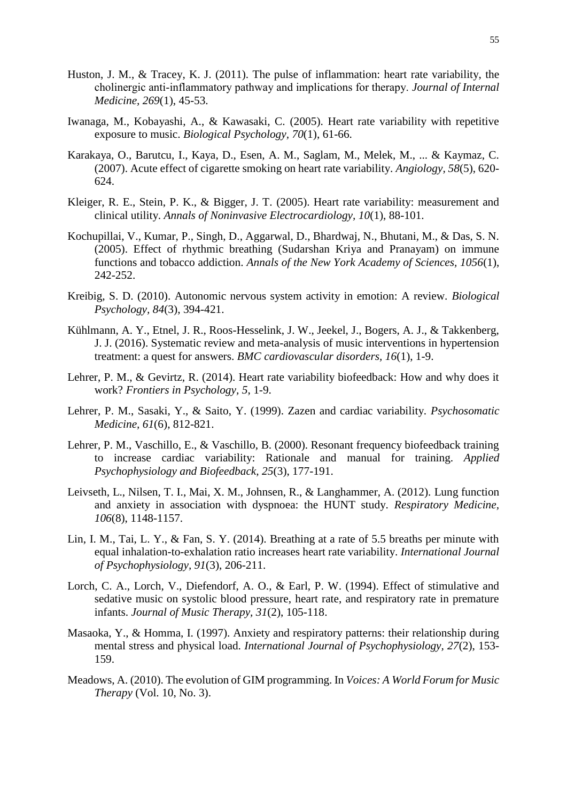- Huston, J. M., & Tracey, K. J. (2011). The pulse of inflammation: heart rate variability, the cholinergic anti‐inflammatory pathway and implications for therapy. *Journal of Internal Medicine, 269*(1), 45-53.
- Iwanaga, M., Kobayashi, A., & Kawasaki, C. (2005). Heart rate variability with repetitive exposure to music. *Biological Psychology, 70*(1), 61-66.
- Karakaya, O., Barutcu, I., Kaya, D., Esen, A. M., Saglam, M., Melek, M., ... & Kaymaz, C. (2007). Acute effect of cigarette smoking on heart rate variability. *Angiology, 58*(5), 620- 624.
- Kleiger, R. E., Stein, P. K., & Bigger, J. T. (2005). Heart rate variability: measurement and clinical utility. *Annals of Noninvasive Electrocardiology, 10*(1), 88-101.
- Kochupillai, V., Kumar, P., Singh, D., Aggarwal, D., Bhardwaj, N., Bhutani, M., & Das, S. N. (2005). Effect of rhythmic breathing (Sudarshan Kriya and Pranayam) on immune functions and tobacco addiction. *Annals of the New York Academy of Sciences, 1056*(1), 242-252.
- Kreibig, S. D. (2010). Autonomic nervous system activity in emotion: A review. *Biological Psychology, 84*(3), 394-421.
- Kühlmann, A. Y., Etnel, J. R., Roos-Hesselink, J. W., Jeekel, J., Bogers, A. J., & Takkenberg, J. J. (2016). Systematic review and meta-analysis of music interventions in hypertension treatment: a quest for answers. *BMC cardiovascular disorders, 16*(1), 1-9.
- Lehrer, P. M., & Gevirtz, R. (2014). Heart rate variability biofeedback: How and why does it work? *Frontiers in Psychology, 5*, 1-9.
- Lehrer, P. M., Sasaki, Y., & Saito, Y. (1999). Zazen and cardiac variability. *Psychosomatic Medicine, 61*(6), 812-821.
- Lehrer, P. M., Vaschillo, E., & Vaschillo, B. (2000). Resonant frequency biofeedback training to increase cardiac variability: Rationale and manual for training. *Applied Psychophysiology and Biofeedback, 25*(3), 177-191.
- Leivseth, L., Nilsen, T. I., Mai, X. M., Johnsen, R., & Langhammer, A. (2012). Lung function and anxiety in association with dyspnoea: the HUNT study. *Respiratory Medicine, 106*(8), 1148-1157.
- Lin, I. M., Tai, L. Y., & Fan, S. Y. (2014). Breathing at a rate of 5.5 breaths per minute with equal inhalation-to-exhalation ratio increases heart rate variability. *International Journal of Psychophysiology, 91*(3), 206-211.
- Lorch, C. A., Lorch, V., Diefendorf, A. O., & Earl, P. W. (1994). Effect of stimulative and sedative music on systolic blood pressure, heart rate, and respiratory rate in premature infants. *Journal of Music Therapy, 31*(2), 105-118.
- Masaoka, Y., & Homma, I. (1997). Anxiety and respiratory patterns: their relationship during mental stress and physical load. *International Journal of Psychophysiology, 27*(2), 153- 159.
- Meadows, A. (2010). The evolution of GIM programming. In *Voices: A World Forum for Music Therapy* (Vol. 10, No. 3).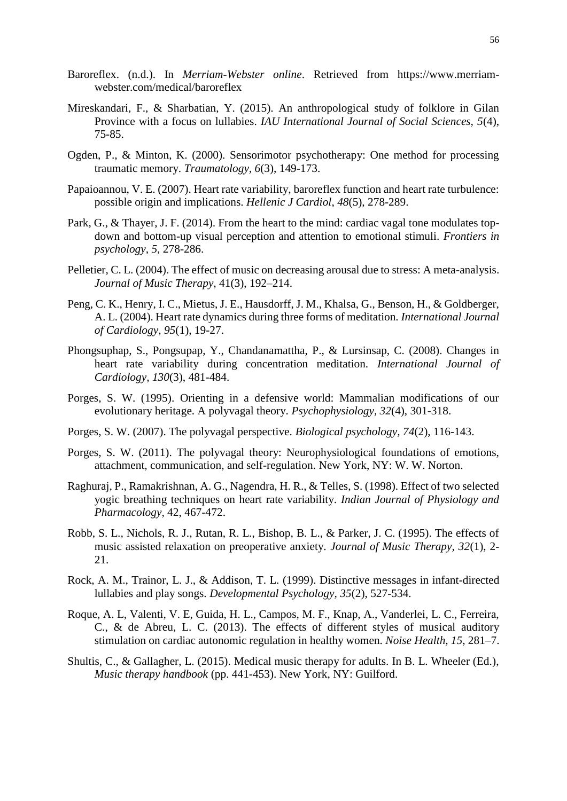- Baroreflex. (n.d.). In *Merriam-Webster online*. Retrieved from https://www.merriamwebster.com/medical/baroreflex
- Mireskandari, F., & Sharbatian, Y. (2015). An anthropological study of folklore in Gilan Province with a focus on lullabies. *IAU International Journal of Social Sciences, 5*(4), 75-85.
- Ogden, P., & Minton, K. (2000). Sensorimotor psychotherapy: One method for processing traumatic memory. *Traumatology, 6*(3), 149-173.
- Papaioannou, V. E. (2007). Heart rate variability, baroreflex function and heart rate turbulence: possible origin and implications. *Hellenic J Cardiol*, *48*(5), 278-289.
- Park, G., & Thayer, J. F. (2014). From the heart to the mind: cardiac vagal tone modulates topdown and bottom-up visual perception and attention to emotional stimuli. *Frontiers in psychology, 5*, 278-286.
- Pelletier, C. L. (2004). The effect of music on decreasing arousal due to stress: A meta-analysis. *Journal of Music Therapy*, 41(3), 192–214.
- Peng, C. K., Henry, I. C., Mietus, J. E., Hausdorff, J. M., Khalsa, G., Benson, H., & Goldberger, A. L. (2004). Heart rate dynamics during three forms of meditation*. International Journal of Cardiology, 95*(1), 19-27.
- Phongsuphap, S., Pongsupap, Y., Chandanamattha, P., & Lursinsap, C. (2008). Changes in heart rate variability during concentration meditation*. International Journal of Cardiology, 130*(3), 481-484.
- Porges, S. W. (1995). Orienting in a defensive world: Mammalian modifications of our evolutionary heritage. A polyvagal theory. *Psychophysiology, 32*(4), 301-318.
- Porges, S. W. (2007). The polyvagal perspective. *Biological psychology, 74*(2), 116-143.
- Porges, S. W. (2011). The polyvagal theory: Neurophysiological foundations of emotions, attachment, communication, and self-regulation. New York, NY: W. W. Norton.
- Raghuraj, P., Ramakrishnan, A. G., Nagendra, H. R., & Telles, S. (1998). Effect of two selected yogic breathing techniques on heart rate variability. *Indian Journal of Physiology and Pharmacology*, 42, 467-472.
- Robb, S. L., Nichols, R. J., Rutan, R. L., Bishop, B. L., & Parker, J. C. (1995). The effects of music assisted relaxation on preoperative anxiety. *Journal of Music Therapy, 32*(1), 2- 21.
- Rock, A. M., Trainor, L. J., & Addison, T. L. (1999). Distinctive messages in infant-directed lullabies and play songs. *Developmental Psychology, 35*(2), 527-534.
- Roque, A. L, Valenti, V. E, Guida, H. L., Campos, M. F., Knap, A., Vanderlei, L. C., Ferreira, C., & de Abreu, L. C. (2013). The effects of different styles of musical auditory stimulation on cardiac autonomic regulation in healthy women. *Noise Health, 15*, 281–7.
- Shultis, C., & Gallagher, L. (2015). Medical music therapy for adults. In B. L. Wheeler (Ed.), *Music therapy handbook* (pp. 441-453). New York, NY: Guilford.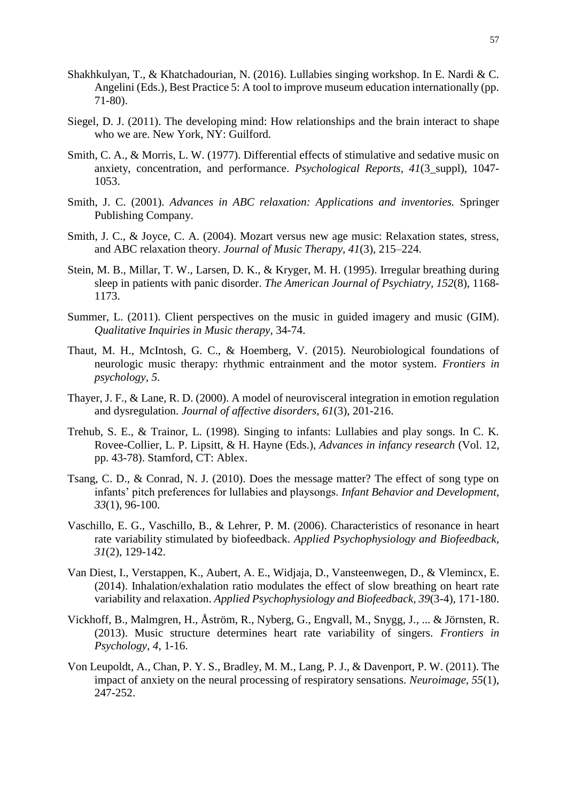- Shakhkulyan, T., & Khatchadourian, N. (2016). Lullabies singing workshop. In E. Nardi & C. Angelini (Eds.), Best Practice 5: A tool to improve museum education internationally (pp. 71-80).
- Siegel, D. J. (2011). The developing mind: How relationships and the brain interact to shape who we are. New York, NY: Guilford.
- Smith, C. A., & Morris, L. W. (1977). Differential effects of stimulative and sedative music on anxiety, concentration, and performance. *Psychological Reports, 41*(3\_suppl), 1047- 1053.
- Smith, J. C. (2001). *Advances in ABC relaxation: Applications and inventories.* Springer Publishing Company.
- Smith, J. C., & Joyce, C. A. (2004). Mozart versus new age music: Relaxation states, stress, and ABC relaxation theory. *Journal of Music Therapy, 41*(3), 215–224.
- Stein, M. B., Millar, T. W., Larsen, D. K., & Kryger, M. H. (1995). Irregular breathing during sleep in patients with panic disorder. *The American Journal of Psychiatry, 152*(8), 1168- 1173.
- Summer, L. (2011). Client perspectives on the music in guided imagery and music (GIM). *Qualitative Inquiries in Music therapy,* 34-74.
- Thaut, M. H., McIntosh, G. C., & Hoemberg, V. (2015). Neurobiological foundations of neurologic music therapy: rhythmic entrainment and the motor system. *Frontiers in psychology, 5*.
- Thayer, J. F., & Lane, R. D. (2000). A model of neurovisceral integration in emotion regulation and dysregulation. *Journal of affective disorders, 61*(3), 201-216.
- Trehub, S. E., & Trainor, L. (1998). Singing to infants: Lullabies and play songs. In C. K. Rovee-Collier, L. P. Lipsitt, & H. Hayne (Eds.), *Advances in infancy research* (Vol. 12, pp. 43-78). Stamford, CT: Ablex.
- Tsang, C. D., & Conrad, N. J. (2010). Does the message matter? The effect of song type on infants' pitch preferences for lullabies and playsongs. *Infant Behavior and Development, 33*(1), 96-100.
- Vaschillo, E. G., Vaschillo, B., & Lehrer, P. M. (2006). Characteristics of resonance in heart rate variability stimulated by biofeedback. *Applied Psychophysiology and Biofeedback, 31*(2), 129-142.
- Van Diest, I., Verstappen, K., Aubert, A. E., Widjaja, D., Vansteenwegen, D., & Vlemincx, E. (2014). Inhalation/exhalation ratio modulates the effect of slow breathing on heart rate variability and relaxation. *Applied Psychophysiology and Biofeedback, 39*(3-4), 171-180.
- Vickhoff, B., Malmgren, H., Åström, R., Nyberg, G., Engvall, M., Snygg, J., ... & Jörnsten, R. (2013). Music structure determines heart rate variability of singers. *Frontiers in Psychology, 4*, 1-16.
- Von Leupoldt, A., Chan, P. Y. S., Bradley, M. M., Lang, P. J., & Davenport, P. W. (2011). The impact of anxiety on the neural processing of respiratory sensations. *Neuroimage, 55*(1), 247-252.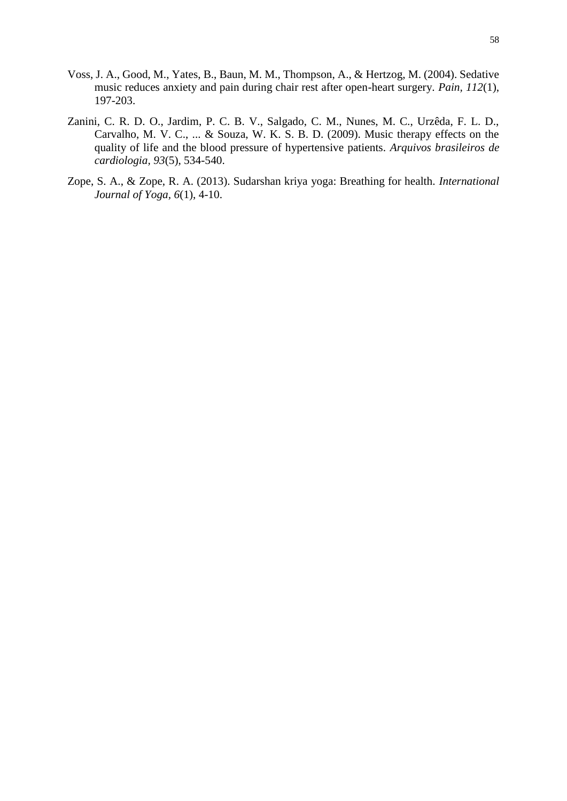- Voss, J. A., Good, M., Yates, B., Baun, M. M., Thompson, A., & Hertzog, M. (2004). Sedative music reduces anxiety and pain during chair rest after open-heart surgery. *Pain, 112*(1), 197-203.
- Zanini, C. R. D. O., Jardim, P. C. B. V., Salgado, C. M., Nunes, M. C., Urzêda, F. L. D., Carvalho, M. V. C., ... & Souza, W. K. S. B. D. (2009). Music therapy effects on the quality of life and the blood pressure of hypertensive patients. *Arquivos brasileiros de cardiologia, 93*(5), 534-540.
- Zope, S. A., & Zope, R. A. (2013). Sudarshan kriya yoga: Breathing for health. *International Journal of Yoga, 6*(1), 4-10.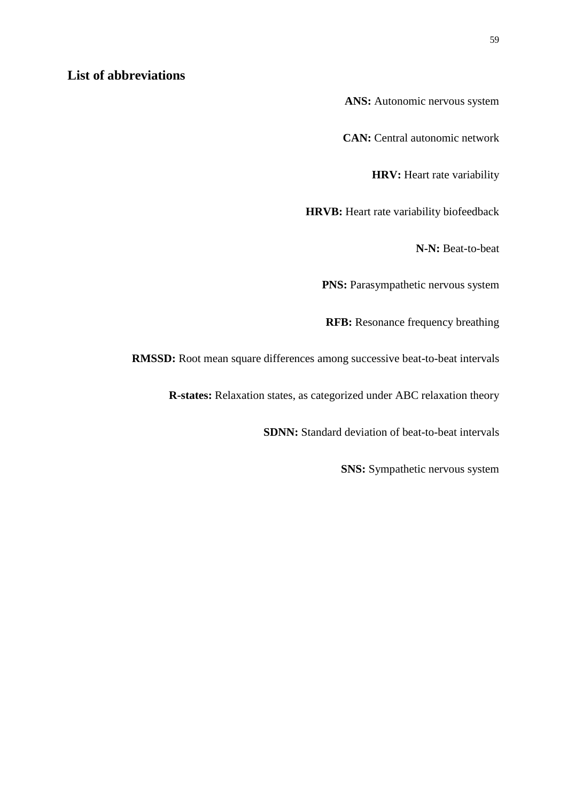# **List of abbreviations**

**ANS:** Autonomic nervous system

**CAN:** Central autonomic network

**HRV:** Heart rate variability

**HRVB:** Heart rate variability biofeedback

**N-N:** Beat-to-beat

**PNS:** Parasympathetic nervous system

**RFB:** Resonance frequency breathing

**RMSSD:** Root mean square differences among successive beat-to-beat intervals

**R-states:** Relaxation states, as categorized under ABC relaxation theory

**SDNN:** Standard deviation of beat-to-beat intervals

**SNS:** Sympathetic nervous system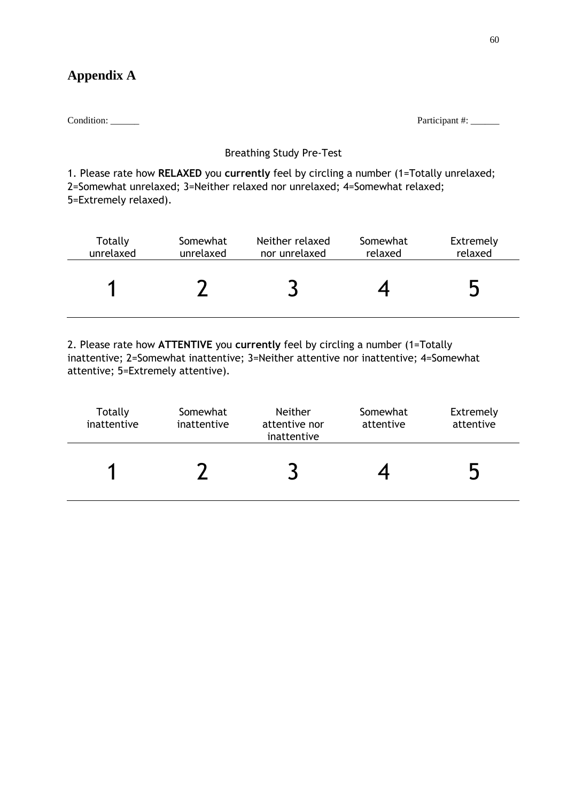# **Appendix A**

Condition: \_\_\_\_\_\_ Participant #: \_\_\_\_\_\_

## Breathing Study Pre-Test

1. Please rate how **RELAXED** you **currently** feel by circling a number (1=Totally unrelaxed; 2=Somewhat unrelaxed; 3=Neither relaxed nor unrelaxed; 4=Somewhat relaxed; 5=Extremely relaxed).

| Totally   | Somewhat  | Neither relaxed | Somewhat | Extremely |
|-----------|-----------|-----------------|----------|-----------|
| unrelaxed | unrelaxed | nor unrelaxed   | relaxed  | relaxed   |
|           |           |                 |          | لہ        |

2. Please rate how **ATTENTIVE** you **currently** feel by circling a number (1=Totally inattentive; 2=Somewhat inattentive; 3=Neither attentive nor inattentive; 4=Somewhat attentive; 5=Extremely attentive).

| Totally<br>inattentive | Somewhat<br>inattentive | <b>Neither</b><br>attentive nor<br>inattentive | Somewhat<br>attentive | Extremely<br>attentive |
|------------------------|-------------------------|------------------------------------------------|-----------------------|------------------------|
|                        |                         |                                                |                       |                        |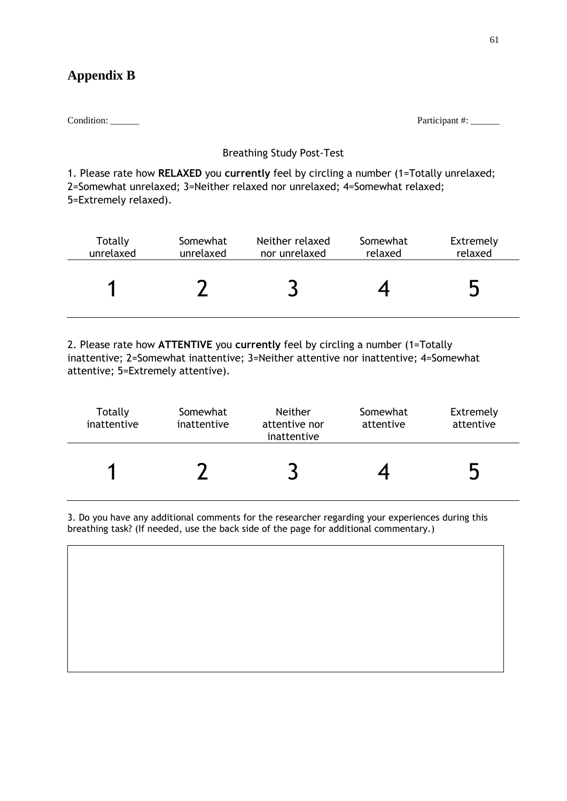# **Appendix B**

Condition: \_\_\_\_\_\_ Participant #: \_\_\_\_\_\_

## Breathing Study Post-Test

1. Please rate how **RELAXED** you **currently** feel by circling a number (1=Totally unrelaxed; 2=Somewhat unrelaxed; 3=Neither relaxed nor unrelaxed; 4=Somewhat relaxed; 5=Extremely relaxed).

| Totally   | Somewhat  | Neither relaxed | Somewhat | Extremely |
|-----------|-----------|-----------------|----------|-----------|
| unrelaxed | unrelaxed | nor unrelaxed   | relaxed  | relaxed   |
|           |           |                 |          | لہ        |

2. Please rate how **ATTENTIVE** you **currently** feel by circling a number (1=Totally inattentive; 2=Somewhat inattentive; 3=Neither attentive nor inattentive; 4=Somewhat attentive; 5=Extremely attentive).

| Totally<br>inattentive | Somewhat<br>inattentive | <b>Neither</b><br>attentive nor<br>inattentive | Somewhat<br>attentive | Extremely<br>attentive |
|------------------------|-------------------------|------------------------------------------------|-----------------------|------------------------|
| я                      |                         |                                                |                       |                        |

3. Do you have any additional comments for the researcher regarding your experiences during this breathing task? (If needed, use the back side of the page for additional commentary.)